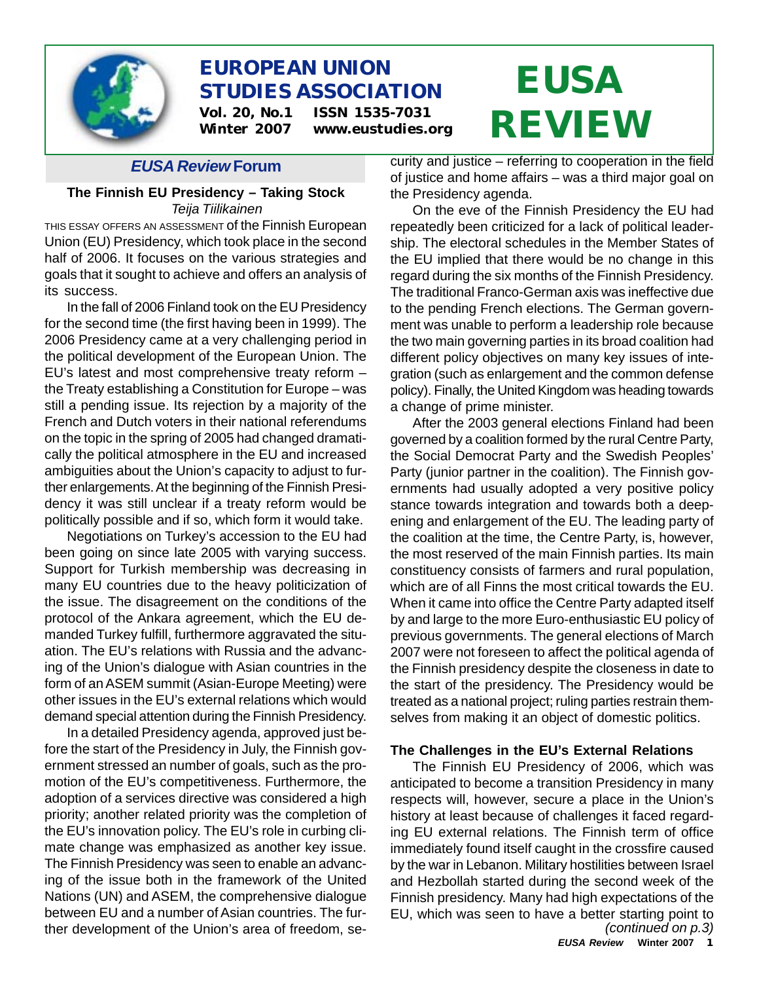

# **EUROPEAN UNION STUDIES ASSOCIATION**

**Vol. 20, No.1 ISSN 1535-7031 Winter 2007 www.eustudies.org**

#### *EUSA Review* **Forum**

### **The Finnish EU Presidency – Taking Stock** *Teija Tiilikainen*

THIS ESSAY OFFERS AN ASSESSMENT of the Finnish European Union (EU) Presidency, which took place in the second half of 2006. It focuses on the various strategies and goals that it sought to achieve and offers an analysis of its success.

In the fall of 2006 Finland took on the EU Presidency for the second time (the first having been in 1999). The 2006 Presidency came at a very challenging period in the political development of the European Union. The EU's latest and most comprehensive treaty reform – the Treaty establishing a Constitution for Europe – was still a pending issue. Its rejection by a majority of the French and Dutch voters in their national referendums on the topic in the spring of 2005 had changed dramatically the political atmosphere in the EU and increased ambiguities about the Union's capacity to adjust to further enlargements. At the beginning of the Finnish Presidency it was still unclear if a treaty reform would be politically possible and if so, which form it would take.

Negotiations on Turkey's accession to the EU had been going on since late 2005 with varying success. Support for Turkish membership was decreasing in many EU countries due to the heavy politicization of the issue. The disagreement on the conditions of the protocol of the Ankara agreement, which the EU demanded Turkey fulfill, furthermore aggravated the situation. The EU's relations with Russia and the advancing of the Union's dialogue with Asian countries in the form of an ASEM summit (Asian-Europe Meeting) were other issues in the EU's external relations which would demand special attention during the Finnish Presidency.

In a detailed Presidency agenda, approved just before the start of the Presidency in July, the Finnish government stressed an number of goals, such as the promotion of the EU's competitiveness. Furthermore, the adoption of a services directive was considered a high priority; another related priority was the completion of the EU's innovation policy. The EU's role in curbing climate change was emphasized as another key issue. The Finnish Presidency was seen to enable an advancing of the issue both in the framework of the United Nations (UN) and ASEM, the comprehensive dialogue between EU and a number of Asian countries. The further development of the Union's area of freedom, se-

# **EUSA REVIEW**

curity and justice – referring to cooperation in the field of justice and home affairs – was a third major goal on the Presidency agenda.

On the eve of the Finnish Presidency the EU had repeatedly been criticized for a lack of political leadership. The electoral schedules in the Member States of the EU implied that there would be no change in this regard during the six months of the Finnish Presidency. The traditional Franco-German axis was ineffective due to the pending French elections. The German government was unable to perform a leadership role because the two main governing parties in its broad coalition had different policy objectives on many key issues of integration (such as enlargement and the common defense policy). Finally, the United Kingdom was heading towards a change of prime minister.

After the 2003 general elections Finland had been governed by a coalition formed by the rural Centre Party, the Social Democrat Party and the Swedish Peoples' Party (junior partner in the coalition). The Finnish governments had usually adopted a very positive policy stance towards integration and towards both a deepening and enlargement of the EU. The leading party of the coalition at the time, the Centre Party, is, however, the most reserved of the main Finnish parties. Its main constituency consists of farmers and rural population, which are of all Finns the most critical towards the EU. When it came into office the Centre Party adapted itself by and large to the more Euro-enthusiastic EU policy of previous governments. The general elections of March 2007 were not foreseen to affect the political agenda of the Finnish presidency despite the closeness in date to the start of the presidency. The Presidency would be treated as a national project; ruling parties restrain themselves from making it an object of domestic politics.

#### **The Challenges in the EU's External Relations**

*(continued on p.3)* The Finnish EU Presidency of 2006, which was anticipated to become a transition Presidency in many respects will, however, secure a place in the Union's history at least because of challenges it faced regarding EU external relations. The Finnish term of office immediately found itself caught in the crossfire caused by the war in Lebanon. Military hostilities between Israel and Hezbollah started during the second week of the Finnish presidency. Many had high expectations of the EU, which was seen to have a better starting point to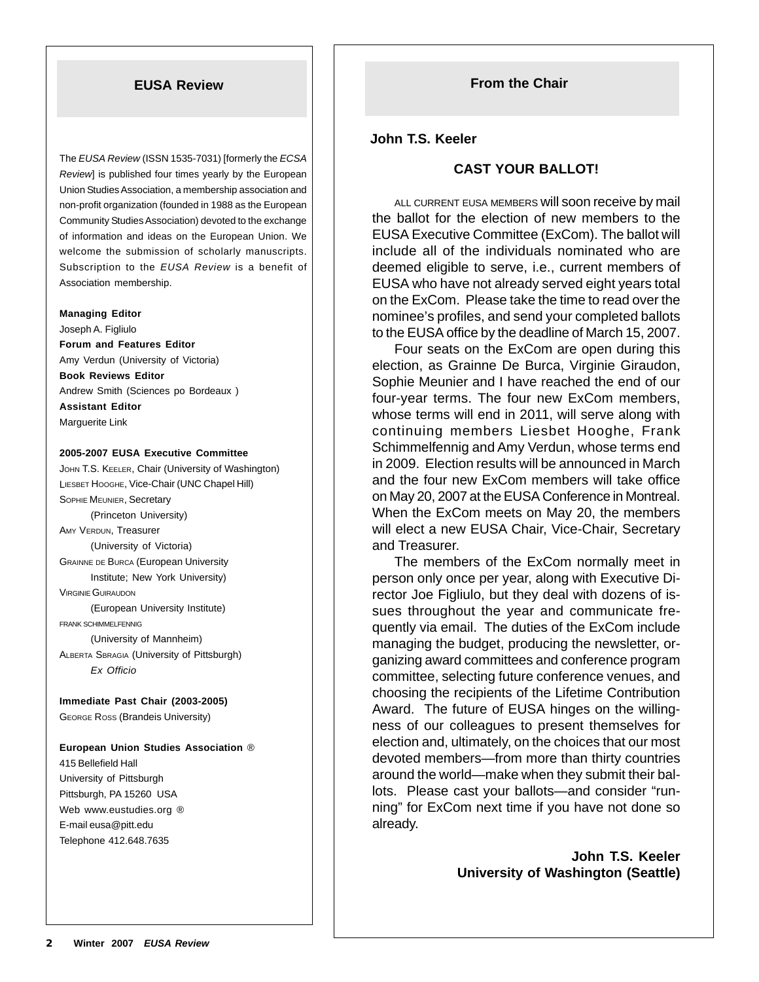The *EUSA Review* (ISSN 1535-7031) [formerly the *ECSA Review*] is published four times yearly by the European Union Studies Association, a membership association and non-profit organization (founded in 1988 as the European Community Studies Association) devoted to the exchange of information and ideas on the European Union. We welcome the submission of scholarly manuscripts. Subscription to the *EUSA Review* is a benefit of Association membership.

#### **Managing Editor**

Joseph A. Figliulo **Forum and Features Editor** Amy Verdun (University of Victoria) **Book Reviews Editor** Andrew Smith (Sciences po Bordeaux ) **Assistant Editor** Marguerite Link

**2005-2007 EUSA Executive Committee**

JOHN T.S. KEELER, Chair (University of Washington) LIESBET HOOGHE, Vice-Chair (UNC Chapel Hill) SOPHIE MEUNIER, Secretary (Princeton University) AMY VERDUN, Treasurer (University of Victoria) GRAINNE DE BURCA (European University Institute; New York University) VIRGINIE GUIRAUDON (European University Institute) FRANK SCHIMMELFENNIG (University of Mannheim) ALBERTA SBRAGIA (University of Pittsburgh) *Ex Officio*

**Immediate Past Chair (2003-2005)** GEORGE ROSS (Brandeis University)

**European Union Studies Association** ® 415 Bellefield Hall University of Pittsburgh Pittsburgh, PA 15260 USA Web www.eustudies.org ® E-mail eusa@pitt.edu Telephone 412.648.7635

#### **John T.S. Keeler**

#### **CAST YOUR BALLOT!**

ALL CURRENT EUSA MEMBERS will soon receive by mail the ballot for the election of new members to the EUSA Executive Committee (ExCom). The ballot will include all of the individuals nominated who are deemed eligible to serve, i.e., current members of EUSA who have not already served eight years total on the ExCom. Please take the time to read over the nominee's profiles, and send your completed ballots to the EUSA office by the deadline of March 15, 2007.

Four seats on the ExCom are open during this election, as Grainne De Burca, Virginie Giraudon, Sophie Meunier and I have reached the end of our four-year terms. The four new ExCom members, whose terms will end in 2011, will serve along with continuing members Liesbet Hooghe, Frank Schimmelfennig and Amy Verdun, whose terms end in 2009. Election results will be announced in March and the four new ExCom members will take office on May 20, 2007 at the EUSA Conference in Montreal. When the ExCom meets on May 20, the members will elect a new EUSA Chair, Vice-Chair, Secretary and Treasurer.

The members of the ExCom normally meet in person only once per year, along with Executive Director Joe Figliulo, but they deal with dozens of issues throughout the year and communicate frequently via email. The duties of the ExCom include managing the budget, producing the newsletter, organizing award committees and conference program committee, selecting future conference venues, and choosing the recipients of the Lifetime Contribution Award. The future of EUSA hinges on the willingness of our colleagues to present themselves for election and, ultimately, on the choices that our most devoted members—from more than thirty countries around the world—make when they submit their ballots. Please cast your ballots—and consider "running" for ExCom next time if you have not done so already.

> **John T.S. Keeler University of Washington (Seattle)**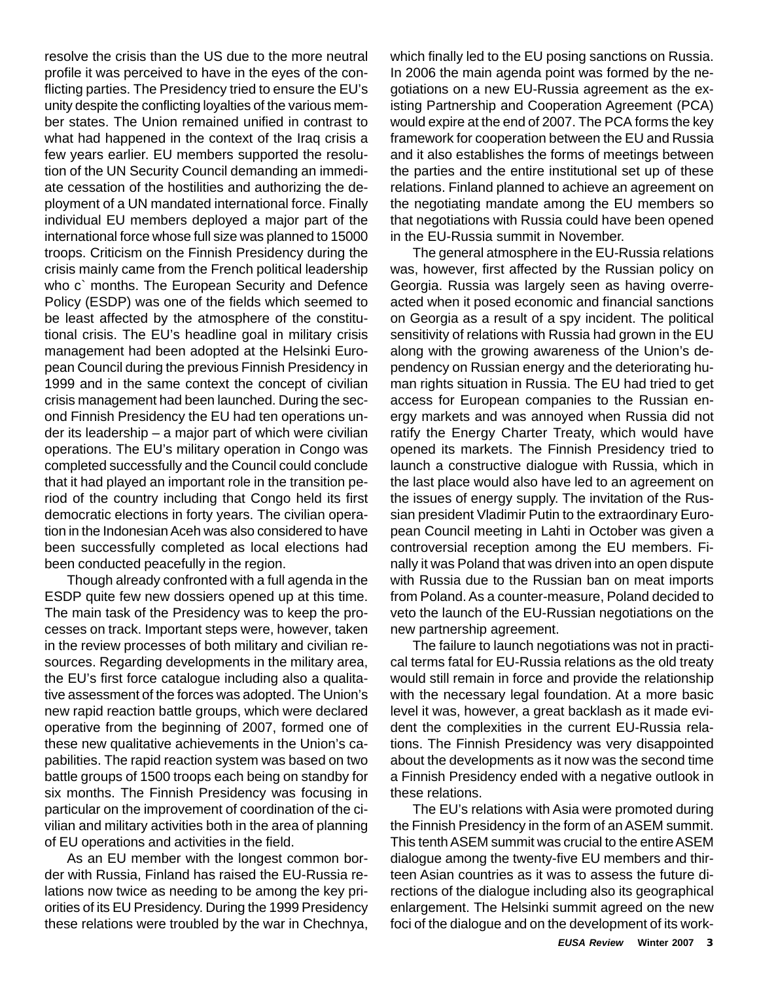resolve the crisis than the US due to the more neutral profile it was perceived to have in the eyes of the conflicting parties. The Presidency tried to ensure the EU's unity despite the conflicting loyalties of the various member states. The Union remained unified in contrast to what had happened in the context of the Iraq crisis a few years earlier. EU members supported the resolution of the UN Security Council demanding an immediate cessation of the hostilities and authorizing the deployment of a UN mandated international force. Finally individual EU members deployed a major part of the international force whose full size was planned to 15000 troops. Criticism on the Finnish Presidency during the crisis mainly came from the French political leadership who c` months. The European Security and Defence Policy (ESDP) was one of the fields which seemed to be least affected by the atmosphere of the constitutional crisis. The EU's headline goal in military crisis management had been adopted at the Helsinki European Council during the previous Finnish Presidency in 1999 and in the same context the concept of civilian crisis management had been launched. During the second Finnish Presidency the EU had ten operations under its leadership – a major part of which were civilian operations. The EU's military operation in Congo was completed successfully and the Council could conclude that it had played an important role in the transition period of the country including that Congo held its first democratic elections in forty years. The civilian operation in the Indonesian Aceh was also considered to have been successfully completed as local elections had been conducted peacefully in the region.

Though already confronted with a full agenda in the ESDP quite few new dossiers opened up at this time. The main task of the Presidency was to keep the processes on track. Important steps were, however, taken in the review processes of both military and civilian resources. Regarding developments in the military area, the EU's first force catalogue including also a qualitative assessment of the forces was adopted. The Union's new rapid reaction battle groups, which were declared operative from the beginning of 2007, formed one of these new qualitative achievements in the Union's capabilities. The rapid reaction system was based on two battle groups of 1500 troops each being on standby for six months. The Finnish Presidency was focusing in particular on the improvement of coordination of the civilian and military activities both in the area of planning of EU operations and activities in the field.

As an EU member with the longest common border with Russia, Finland has raised the EU-Russia relations now twice as needing to be among the key priorities of its EU Presidency. During the 1999 Presidency these relations were troubled by the war in Chechnya, which finally led to the EU posing sanctions on Russia. In 2006 the main agenda point was formed by the negotiations on a new EU-Russia agreement as the existing Partnership and Cooperation Agreement (PCA) would expire at the end of 2007. The PCA forms the key framework for cooperation between the EU and Russia and it also establishes the forms of meetings between the parties and the entire institutional set up of these relations. Finland planned to achieve an agreement on the negotiating mandate among the EU members so that negotiations with Russia could have been opened in the EU-Russia summit in November.

The general atmosphere in the EU-Russia relations was, however, first affected by the Russian policy on Georgia. Russia was largely seen as having overreacted when it posed economic and financial sanctions on Georgia as a result of a spy incident. The political sensitivity of relations with Russia had grown in the EU along with the growing awareness of the Union's dependency on Russian energy and the deteriorating human rights situation in Russia. The EU had tried to get access for European companies to the Russian energy markets and was annoyed when Russia did not ratify the Energy Charter Treaty, which would have opened its markets. The Finnish Presidency tried to launch a constructive dialogue with Russia, which in the last place would also have led to an agreement on the issues of energy supply. The invitation of the Russian president Vladimir Putin to the extraordinary European Council meeting in Lahti in October was given a controversial reception among the EU members. Finally it was Poland that was driven into an open dispute with Russia due to the Russian ban on meat imports from Poland. As a counter-measure, Poland decided to veto the launch of the EU-Russian negotiations on the new partnership agreement.

The failure to launch negotiations was not in practical terms fatal for EU-Russia relations as the old treaty would still remain in force and provide the relationship with the necessary legal foundation. At a more basic level it was, however, a great backlash as it made evident the complexities in the current EU-Russia relations. The Finnish Presidency was very disappointed about the developments as it now was the second time a Finnish Presidency ended with a negative outlook in these relations.

The EU's relations with Asia were promoted during the Finnish Presidency in the form of an ASEM summit. This tenth ASEM summit was crucial to the entire ASEM dialogue among the twenty-five EU members and thirteen Asian countries as it was to assess the future directions of the dialogue including also its geographical enlargement. The Helsinki summit agreed on the new foci of the dialogue and on the development of its work-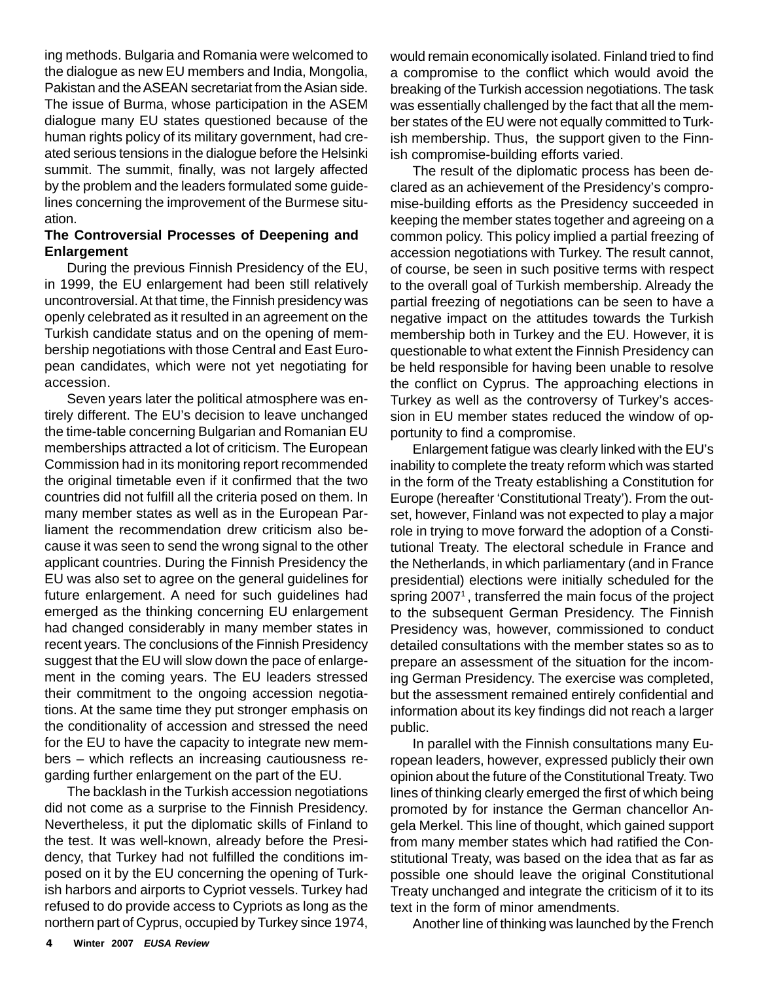ing methods. Bulgaria and Romania were welcomed to the dialogue as new EU members and India, Mongolia, Pakistan and the ASEAN secretariat from the Asian side. The issue of Burma, whose participation in the ASEM dialogue many EU states questioned because of the human rights policy of its military government, had created serious tensions in the dialogue before the Helsinki summit. The summit, finally, was not largely affected by the problem and the leaders formulated some guidelines concerning the improvement of the Burmese situation.

#### **The Controversial Processes of Deepening and Enlargement**

During the previous Finnish Presidency of the EU, in 1999, the EU enlargement had been still relatively uncontroversial. At that time, the Finnish presidency was openly celebrated as it resulted in an agreement on the Turkish candidate status and on the opening of membership negotiations with those Central and East European candidates, which were not yet negotiating for accession.

Seven years later the political atmosphere was entirely different. The EU's decision to leave unchanged the time-table concerning Bulgarian and Romanian EU memberships attracted a lot of criticism. The European Commission had in its monitoring report recommended the original timetable even if it confirmed that the two countries did not fulfill all the criteria posed on them. In many member states as well as in the European Parliament the recommendation drew criticism also because it was seen to send the wrong signal to the other applicant countries. During the Finnish Presidency the EU was also set to agree on the general guidelines for future enlargement. A need for such guidelines had emerged as the thinking concerning EU enlargement had changed considerably in many member states in recent years. The conclusions of the Finnish Presidency suggest that the EU will slow down the pace of enlargement in the coming years. The EU leaders stressed their commitment to the ongoing accession negotiations. At the same time they put stronger emphasis on the conditionality of accession and stressed the need for the EU to have the capacity to integrate new members – which reflects an increasing cautiousness regarding further enlargement on the part of the EU.

The backlash in the Turkish accession negotiations did not come as a surprise to the Finnish Presidency. Nevertheless, it put the diplomatic skills of Finland to the test. It was well-known, already before the Presidency, that Turkey had not fulfilled the conditions imposed on it by the EU concerning the opening of Turkish harbors and airports to Cypriot vessels. Turkey had refused to do provide access to Cypriots as long as the northern part of Cyprus, occupied by Turkey since 1974,

would remain economically isolated. Finland tried to find a compromise to the conflict which would avoid the breaking of the Turkish accession negotiations. The task was essentially challenged by the fact that all the member states of the EU were not equally committed to Turkish membership. Thus, the support given to the Finnish compromise-building efforts varied.

The result of the diplomatic process has been declared as an achievement of the Presidency's compromise-building efforts as the Presidency succeeded in keeping the member states together and agreeing on a common policy. This policy implied a partial freezing of accession negotiations with Turkey. The result cannot, of course, be seen in such positive terms with respect to the overall goal of Turkish membership. Already the partial freezing of negotiations can be seen to have a negative impact on the attitudes towards the Turkish membership both in Turkey and the EU. However, it is questionable to what extent the Finnish Presidency can be held responsible for having been unable to resolve the conflict on Cyprus. The approaching elections in Turkey as well as the controversy of Turkey's accession in EU member states reduced the window of opportunity to find a compromise.

Enlargement fatigue was clearly linked with the EU's inability to complete the treaty reform which was started in the form of the Treaty establishing a Constitution for Europe (hereafter 'Constitutional Treaty'). From the outset, however, Finland was not expected to play a major role in trying to move forward the adoption of a Constitutional Treaty. The electoral schedule in France and the Netherlands, in which parliamentary (and in France presidential) elections were initially scheduled for the spring 2007<sup>1</sup>, transferred the main focus of the project to the subsequent German Presidency. The Finnish Presidency was, however, commissioned to conduct detailed consultations with the member states so as to prepare an assessment of the situation for the incoming German Presidency. The exercise was completed, but the assessment remained entirely confidential and information about its key findings did not reach a larger public.

In parallel with the Finnish consultations many European leaders, however, expressed publicly their own opinion about the future of the Constitutional Treaty. Two lines of thinking clearly emerged the first of which being promoted by for instance the German chancellor Angela Merkel. This line of thought, which gained support from many member states which had ratified the Constitutional Treaty, was based on the idea that as far as possible one should leave the original Constitutional Treaty unchanged and integrate the criticism of it to its text in the form of minor amendments.

Another line of thinking was launched by the French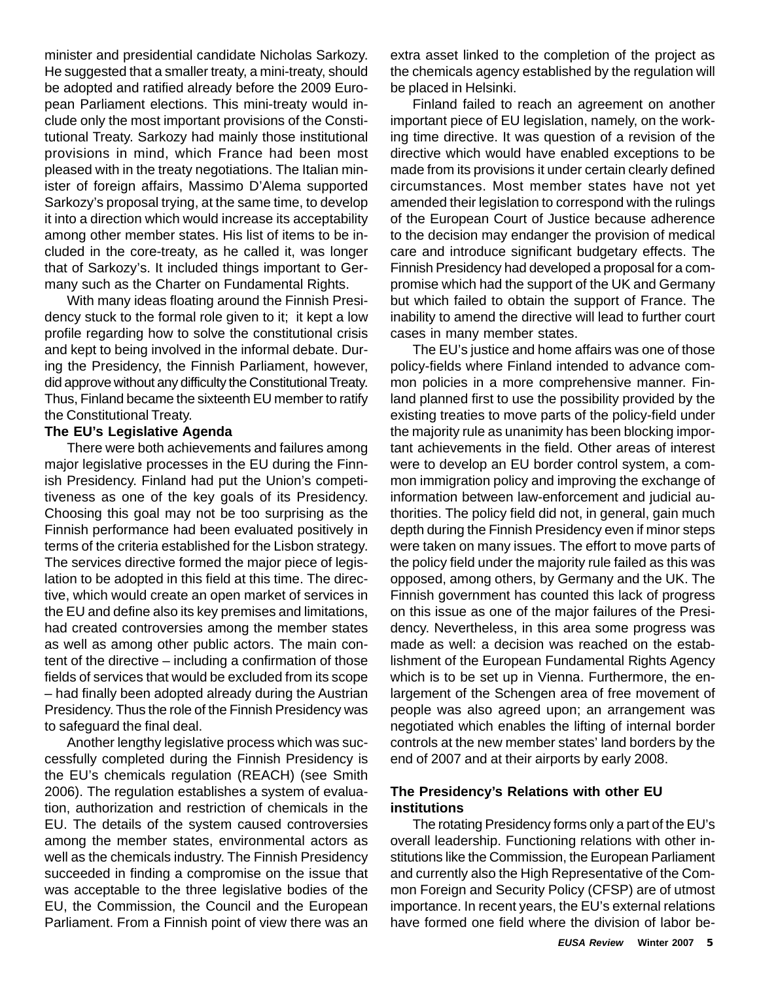minister and presidential candidate Nicholas Sarkozy. He suggested that a smaller treaty, a mini-treaty, should be adopted and ratified already before the 2009 European Parliament elections. This mini-treaty would include only the most important provisions of the Constitutional Treaty. Sarkozy had mainly those institutional provisions in mind, which France had been most pleased with in the treaty negotiations. The Italian minister of foreign affairs, Massimo D'Alema supported Sarkozy's proposal trying, at the same time, to develop it into a direction which would increase its acceptability among other member states. His list of items to be included in the core-treaty, as he called it, was longer that of Sarkozy's. It included things important to Germany such as the Charter on Fundamental Rights.

With many ideas floating around the Finnish Presidency stuck to the formal role given to it; it kept a low profile regarding how to solve the constitutional crisis and kept to being involved in the informal debate. During the Presidency, the Finnish Parliament, however, did approve without any difficulty the Constitutional Treaty. Thus, Finland became the sixteenth EU member to ratify the Constitutional Treaty.

#### **The EU's Legislative Agenda**

There were both achievements and failures among major legislative processes in the EU during the Finnish Presidency. Finland had put the Union's competitiveness as one of the key goals of its Presidency. Choosing this goal may not be too surprising as the Finnish performance had been evaluated positively in terms of the criteria established for the Lisbon strategy. The services directive formed the major piece of legislation to be adopted in this field at this time. The directive, which would create an open market of services in the EU and define also its key premises and limitations, had created controversies among the member states as well as among other public actors. The main content of the directive – including a confirmation of those fields of services that would be excluded from its scope – had finally been adopted already during the Austrian Presidency. Thus the role of the Finnish Presidency was to safeguard the final deal.

Another lengthy legislative process which was successfully completed during the Finnish Presidency is the EU's chemicals regulation (REACH) (see Smith 2006). The regulation establishes a system of evaluation, authorization and restriction of chemicals in the EU. The details of the system caused controversies among the member states, environmental actors as well as the chemicals industry. The Finnish Presidency succeeded in finding a compromise on the issue that was acceptable to the three legislative bodies of the EU, the Commission, the Council and the European Parliament. From a Finnish point of view there was an

extra asset linked to the completion of the project as the chemicals agency established by the regulation will be placed in Helsinki.

Finland failed to reach an agreement on another important piece of EU legislation, namely, on the working time directive. It was question of a revision of the directive which would have enabled exceptions to be made from its provisions it under certain clearly defined circumstances. Most member states have not yet amended their legislation to correspond with the rulings of the European Court of Justice because adherence to the decision may endanger the provision of medical care and introduce significant budgetary effects. The Finnish Presidency had developed a proposal for a compromise which had the support of the UK and Germany but which failed to obtain the support of France. The inability to amend the directive will lead to further court cases in many member states.

The EU's justice and home affairs was one of those policy-fields where Finland intended to advance common policies in a more comprehensive manner. Finland planned first to use the possibility provided by the existing treaties to move parts of the policy-field under the majority rule as unanimity has been blocking important achievements in the field. Other areas of interest were to develop an EU border control system, a common immigration policy and improving the exchange of information between law-enforcement and judicial authorities. The policy field did not, in general, gain much depth during the Finnish Presidency even if minor steps were taken on many issues. The effort to move parts of the policy field under the majority rule failed as this was opposed, among others, by Germany and the UK. The Finnish government has counted this lack of progress on this issue as one of the major failures of the Presidency. Nevertheless, in this area some progress was made as well: a decision was reached on the establishment of the European Fundamental Rights Agency which is to be set up in Vienna. Furthermore, the enlargement of the Schengen area of free movement of people was also agreed upon; an arrangement was negotiated which enables the lifting of internal border controls at the new member states' land borders by the end of 2007 and at their airports by early 2008.

#### **The Presidency's Relations with other EU institutions**

The rotating Presidency forms only a part of the EU's overall leadership. Functioning relations with other institutions like the Commission, the European Parliament and currently also the High Representative of the Common Foreign and Security Policy (CFSP) are of utmost importance. In recent years, the EU's external relations have formed one field where the division of labor be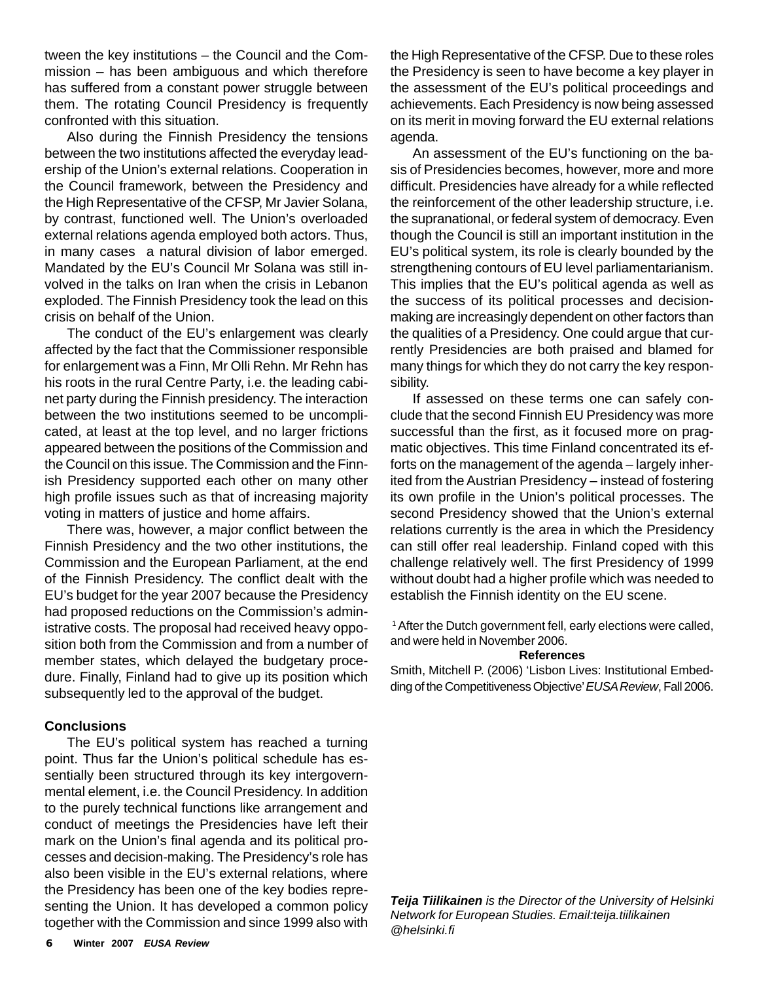tween the key institutions – the Council and the Commission – has been ambiguous and which therefore has suffered from a constant power struggle between them. The rotating Council Presidency is frequently confronted with this situation.

Also during the Finnish Presidency the tensions between the two institutions affected the everyday leadership of the Union's external relations. Cooperation in the Council framework, between the Presidency and the High Representative of the CFSP, Mr Javier Solana, by contrast, functioned well. The Union's overloaded external relations agenda employed both actors. Thus, in many cases a natural division of labor emerged. Mandated by the EU's Council Mr Solana was still involved in the talks on Iran when the crisis in Lebanon exploded. The Finnish Presidency took the lead on this crisis on behalf of the Union.

The conduct of the EU's enlargement was clearly affected by the fact that the Commissioner responsible for enlargement was a Finn, Mr Olli Rehn. Mr Rehn has his roots in the rural Centre Party, i.e. the leading cabinet party during the Finnish presidency. The interaction between the two institutions seemed to be uncomplicated, at least at the top level, and no larger frictions appeared between the positions of the Commission and the Council on this issue. The Commission and the Finnish Presidency supported each other on many other high profile issues such as that of increasing majority voting in matters of justice and home affairs.

There was, however, a major conflict between the Finnish Presidency and the two other institutions, the Commission and the European Parliament, at the end of the Finnish Presidency. The conflict dealt with the EU's budget for the year 2007 because the Presidency had proposed reductions on the Commission's administrative costs. The proposal had received heavy opposition both from the Commission and from a number of member states, which delayed the budgetary procedure. Finally, Finland had to give up its position which subsequently led to the approval of the budget.

#### **Conclusions**

The EU's political system has reached a turning point. Thus far the Union's political schedule has essentially been structured through its key intergovernmental element, i.e. the Council Presidency. In addition to the purely technical functions like arrangement and conduct of meetings the Presidencies have left their mark on the Union's final agenda and its political processes and decision-making. The Presidency's role has also been visible in the EU's external relations, where the Presidency has been one of the key bodies representing the Union. It has developed a common policy together with the Commission and since 1999 also with

the High Representative of the CFSP. Due to these roles the Presidency is seen to have become a key player in the assessment of the EU's political proceedings and achievements. Each Presidency is now being assessed on its merit in moving forward the EU external relations agenda.

An assessment of the EU's functioning on the basis of Presidencies becomes, however, more and more difficult. Presidencies have already for a while reflected the reinforcement of the other leadership structure, i.e. the supranational, or federal system of democracy. Even though the Council is still an important institution in the EU's political system, its role is clearly bounded by the strengthening contours of EU level parliamentarianism. This implies that the EU's political agenda as well as the success of its political processes and decisionmaking are increasingly dependent on other factors than the qualities of a Presidency. One could argue that currently Presidencies are both praised and blamed for many things for which they do not carry the key responsibility.

If assessed on these terms one can safely conclude that the second Finnish EU Presidency was more successful than the first, as it focused more on pragmatic objectives. This time Finland concentrated its efforts on the management of the agenda – largely inherited from the Austrian Presidency – instead of fostering its own profile in the Union's political processes. The second Presidency showed that the Union's external relations currently is the area in which the Presidency can still offer real leadership. Finland coped with this challenge relatively well. The first Presidency of 1999 without doubt had a higher profile which was needed to establish the Finnish identity on the EU scene.

<sup>1</sup> After the Dutch government fell, early elections were called, and were held in November 2006.

#### **References**

Smith, Mitchell P. (2006) 'Lisbon Lives: Institutional Embedding of the Competitiveness Objective' *EUSA Review*, Fall 2006.

*Teija Tiilikainen is the Director of the University of Helsinki Network for European Studies. Email:teija.tiilikainen @helsinki.fi*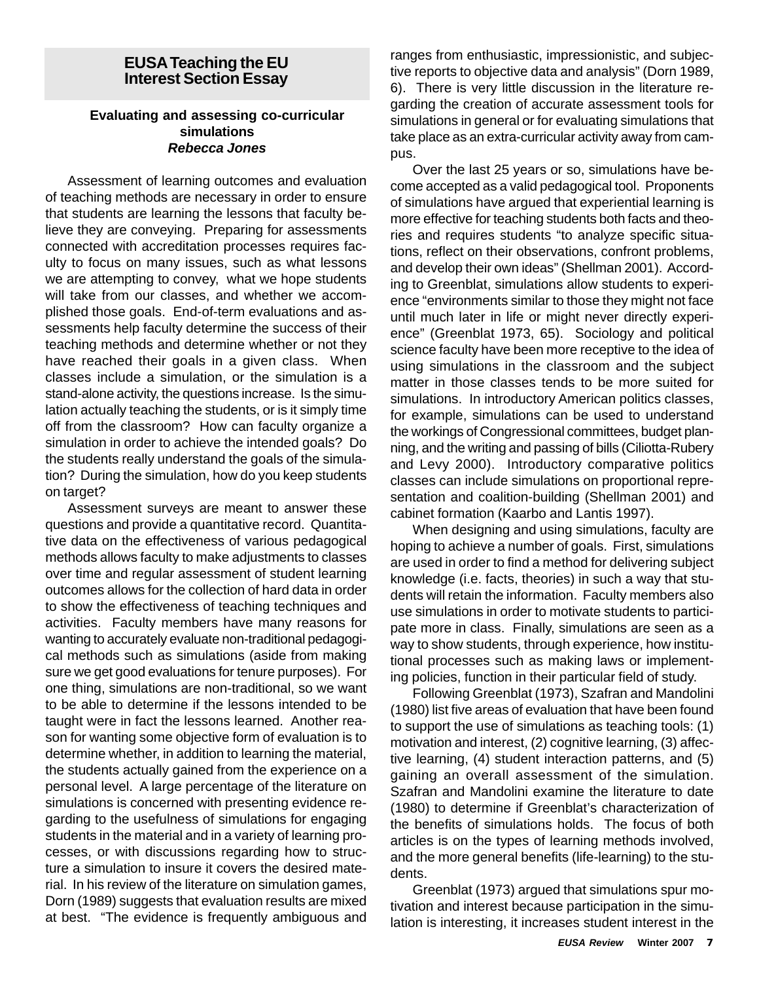#### **EUSA Teaching the EU Interest Section Essay**

#### **Evaluating and assessing co-curricular simulations** *Rebecca Jones*

Assessment of learning outcomes and evaluation of teaching methods are necessary in order to ensure that students are learning the lessons that faculty believe they are conveying. Preparing for assessments connected with accreditation processes requires faculty to focus on many issues, such as what lessons we are attempting to convey, what we hope students will take from our classes, and whether we accomplished those goals. End-of-term evaluations and assessments help faculty determine the success of their teaching methods and determine whether or not they have reached their goals in a given class. When classes include a simulation, or the simulation is a stand-alone activity, the questions increase. Is the simulation actually teaching the students, or is it simply time off from the classroom? How can faculty organize a simulation in order to achieve the intended goals? Do the students really understand the goals of the simulation? During the simulation, how do you keep students on target?

Assessment surveys are meant to answer these questions and provide a quantitative record. Quantitative data on the effectiveness of various pedagogical methods allows faculty to make adjustments to classes over time and regular assessment of student learning outcomes allows for the collection of hard data in order to show the effectiveness of teaching techniques and activities. Faculty members have many reasons for wanting to accurately evaluate non-traditional pedagogical methods such as simulations (aside from making sure we get good evaluations for tenure purposes). For one thing, simulations are non-traditional, so we want to be able to determine if the lessons intended to be taught were in fact the lessons learned. Another reason for wanting some objective form of evaluation is to determine whether, in addition to learning the material, the students actually gained from the experience on a personal level. A large percentage of the literature on simulations is concerned with presenting evidence regarding to the usefulness of simulations for engaging students in the material and in a variety of learning processes, or with discussions regarding how to structure a simulation to insure it covers the desired material. In his review of the literature on simulation games, Dorn (1989) suggests that evaluation results are mixed at best. "The evidence is frequently ambiguous and ranges from enthusiastic, impressionistic, and subjective reports to objective data and analysis" (Dorn 1989, 6). There is very little discussion in the literature regarding the creation of accurate assessment tools for simulations in general or for evaluating simulations that take place as an extra-curricular activity away from campus.

Over the last 25 years or so, simulations have become accepted as a valid pedagogical tool. Proponents of simulations have argued that experiential learning is more effective for teaching students both facts and theories and requires students "to analyze specific situations, reflect on their observations, confront problems, and develop their own ideas" (Shellman 2001). According to Greenblat, simulations allow students to experience "environments similar to those they might not face until much later in life or might never directly experience" (Greenblat 1973, 65). Sociology and political science faculty have been more receptive to the idea of using simulations in the classroom and the subject matter in those classes tends to be more suited for simulations. In introductory American politics classes, for example, simulations can be used to understand the workings of Congressional committees, budget planning, and the writing and passing of bills (Ciliotta-Rubery and Levy 2000). Introductory comparative politics classes can include simulations on proportional representation and coalition-building (Shellman 2001) and cabinet formation (Kaarbo and Lantis 1997).

When designing and using simulations, faculty are hoping to achieve a number of goals. First, simulations are used in order to find a method for delivering subject knowledge (i.e. facts, theories) in such a way that students will retain the information. Faculty members also use simulations in order to motivate students to participate more in class. Finally, simulations are seen as a way to show students, through experience, how institutional processes such as making laws or implementing policies, function in their particular field of study.

Following Greenblat (1973), Szafran and Mandolini (1980) list five areas of evaluation that have been found to support the use of simulations as teaching tools: (1) motivation and interest, (2) cognitive learning, (3) affective learning, (4) student interaction patterns, and (5) gaining an overall assessment of the simulation. Szafran and Mandolini examine the literature to date (1980) to determine if Greenblat's characterization of the benefits of simulations holds. The focus of both articles is on the types of learning methods involved, and the more general benefits (life-learning) to the students.

Greenblat (1973) argued that simulations spur motivation and interest because participation in the simulation is interesting, it increases student interest in the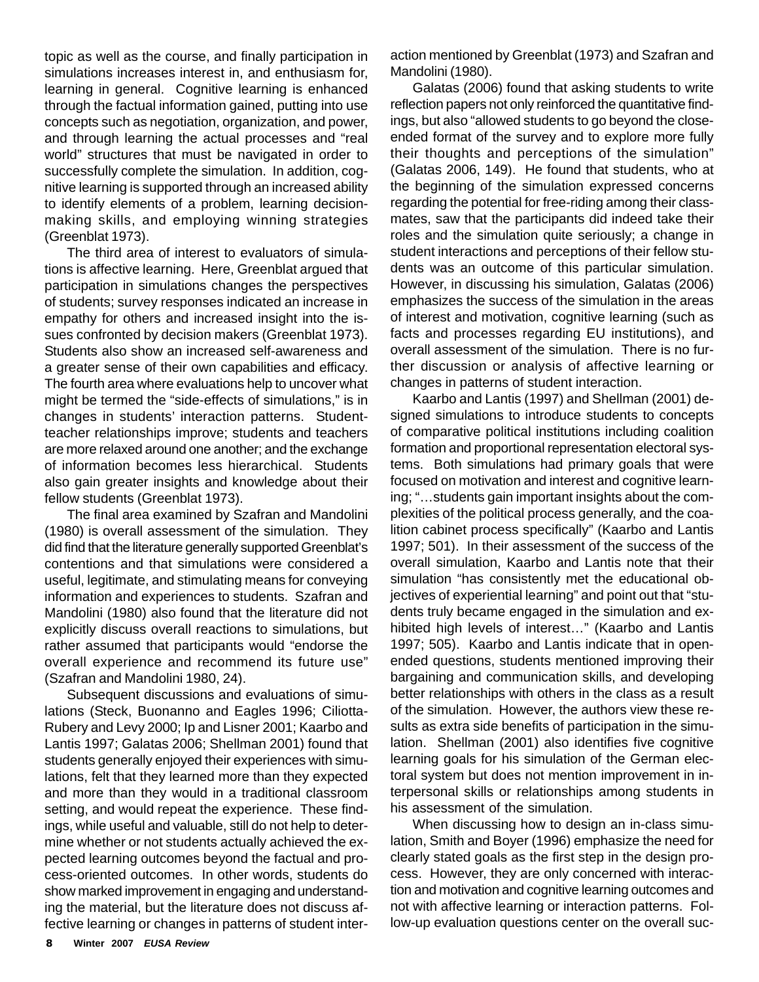topic as well as the course, and finally participation in simulations increases interest in, and enthusiasm for, learning in general. Cognitive learning is enhanced through the factual information gained, putting into use concepts such as negotiation, organization, and power, and through learning the actual processes and "real world" structures that must be navigated in order to successfully complete the simulation. In addition, cognitive learning is supported through an increased ability to identify elements of a problem, learning decisionmaking skills, and employing winning strategies (Greenblat 1973).

The third area of interest to evaluators of simulations is affective learning. Here, Greenblat argued that participation in simulations changes the perspectives of students; survey responses indicated an increase in empathy for others and increased insight into the issues confronted by decision makers (Greenblat 1973). Students also show an increased self-awareness and a greater sense of their own capabilities and efficacy. The fourth area where evaluations help to uncover what might be termed the "side-effects of simulations," is in changes in students' interaction patterns. Studentteacher relationships improve; students and teachers are more relaxed around one another; and the exchange of information becomes less hierarchical. Students also gain greater insights and knowledge about their fellow students (Greenblat 1973).

The final area examined by Szafran and Mandolini (1980) is overall assessment of the simulation. They did find that the literature generally supported Greenblat's contentions and that simulations were considered a useful, legitimate, and stimulating means for conveying information and experiences to students. Szafran and Mandolini (1980) also found that the literature did not explicitly discuss overall reactions to simulations, but rather assumed that participants would "endorse the overall experience and recommend its future use" (Szafran and Mandolini 1980, 24).

Subsequent discussions and evaluations of simulations (Steck, Buonanno and Eagles 1996; Ciliotta-Rubery and Levy 2000; Ip and Lisner 2001; Kaarbo and Lantis 1997; Galatas 2006; Shellman 2001) found that students generally enjoyed their experiences with simulations, felt that they learned more than they expected and more than they would in a traditional classroom setting, and would repeat the experience. These findings, while useful and valuable, still do not help to determine whether or not students actually achieved the expected learning outcomes beyond the factual and process-oriented outcomes. In other words, students do show marked improvement in engaging and understanding the material, but the literature does not discuss affective learning or changes in patterns of student interaction mentioned by Greenblat (1973) and Szafran and Mandolini (1980).

Galatas (2006) found that asking students to write reflection papers not only reinforced the quantitative findings, but also "allowed students to go beyond the closeended format of the survey and to explore more fully their thoughts and perceptions of the simulation" (Galatas 2006, 149). He found that students, who at the beginning of the simulation expressed concerns regarding the potential for free-riding among their classmates, saw that the participants did indeed take their roles and the simulation quite seriously; a change in student interactions and perceptions of their fellow students was an outcome of this particular simulation. However, in discussing his simulation, Galatas (2006) emphasizes the success of the simulation in the areas of interest and motivation, cognitive learning (such as facts and processes regarding EU institutions), and overall assessment of the simulation. There is no further discussion or analysis of affective learning or changes in patterns of student interaction.

Kaarbo and Lantis (1997) and Shellman (2001) designed simulations to introduce students to concepts of comparative political institutions including coalition formation and proportional representation electoral systems. Both simulations had primary goals that were focused on motivation and interest and cognitive learning; "…students gain important insights about the complexities of the political process generally, and the coalition cabinet process specifically" (Kaarbo and Lantis 1997; 501). In their assessment of the success of the overall simulation, Kaarbo and Lantis note that their simulation "has consistently met the educational objectives of experiential learning" and point out that "students truly became engaged in the simulation and exhibited high levels of interest…" (Kaarbo and Lantis 1997; 505). Kaarbo and Lantis indicate that in openended questions, students mentioned improving their bargaining and communication skills, and developing better relationships with others in the class as a result of the simulation. However, the authors view these results as extra side benefits of participation in the simulation. Shellman (2001) also identifies five cognitive learning goals for his simulation of the German electoral system but does not mention improvement in interpersonal skills or relationships among students in his assessment of the simulation.

When discussing how to design an in-class simulation, Smith and Boyer (1996) emphasize the need for clearly stated goals as the first step in the design process. However, they are only concerned with interaction and motivation and cognitive learning outcomes and not with affective learning or interaction patterns. Follow-up evaluation questions center on the overall suc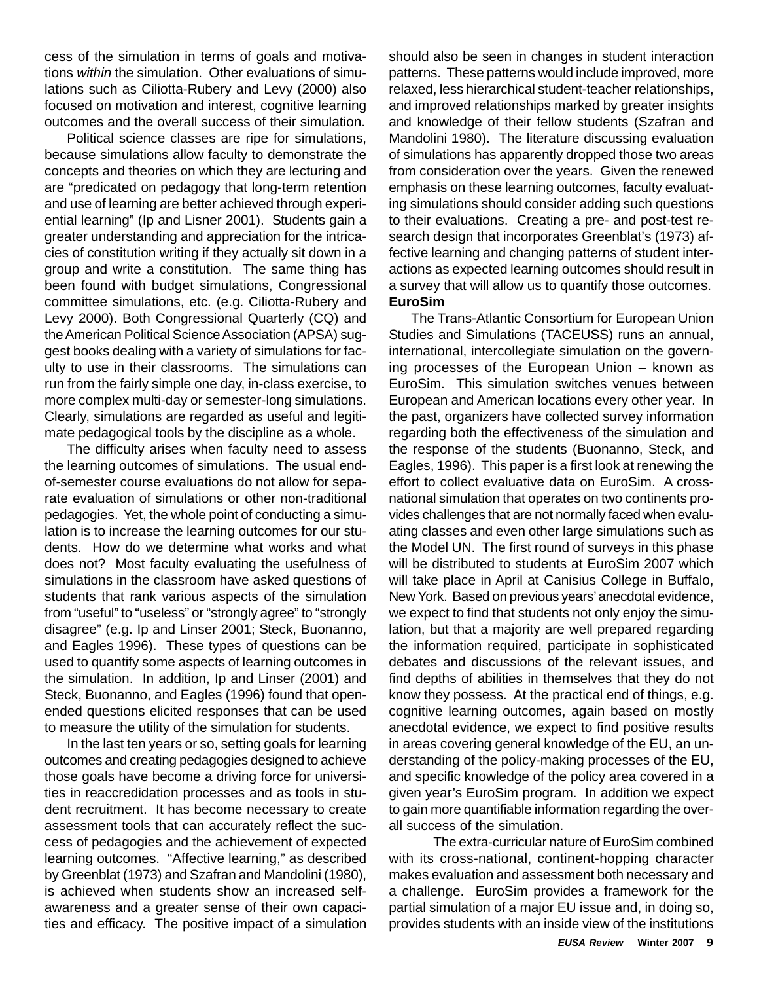cess of the simulation in terms of goals and motivations *within* the simulation. Other evaluations of simulations such as Ciliotta-Rubery and Levy (2000) also focused on motivation and interest, cognitive learning outcomes and the overall success of their simulation.

Political science classes are ripe for simulations, because simulations allow faculty to demonstrate the concepts and theories on which they are lecturing and are "predicated on pedagogy that long-term retention and use of learning are better achieved through experiential learning" (Ip and Lisner 2001). Students gain a greater understanding and appreciation for the intricacies of constitution writing if they actually sit down in a group and write a constitution. The same thing has been found with budget simulations, Congressional committee simulations, etc. (e.g. Ciliotta-Rubery and Levy 2000). Both Congressional Quarterly (CQ) and the American Political Science Association (APSA) suggest books dealing with a variety of simulations for faculty to use in their classrooms. The simulations can run from the fairly simple one day, in-class exercise, to more complex multi-day or semester-long simulations. Clearly, simulations are regarded as useful and legitimate pedagogical tools by the discipline as a whole.

The difficulty arises when faculty need to assess the learning outcomes of simulations. The usual endof-semester course evaluations do not allow for separate evaluation of simulations or other non-traditional pedagogies. Yet, the whole point of conducting a simulation is to increase the learning outcomes for our students. How do we determine what works and what does not? Most faculty evaluating the usefulness of simulations in the classroom have asked questions of students that rank various aspects of the simulation from "useful" to "useless" or "strongly agree" to "strongly disagree" (e.g. Ip and Linser 2001; Steck, Buonanno, and Eagles 1996). These types of questions can be used to quantify some aspects of learning outcomes in the simulation. In addition, Ip and Linser (2001) and Steck, Buonanno, and Eagles (1996) found that openended questions elicited responses that can be used to measure the utility of the simulation for students.

In the last ten years or so, setting goals for learning outcomes and creating pedagogies designed to achieve those goals have become a driving force for universities in reaccredidation processes and as tools in student recruitment. It has become necessary to create assessment tools that can accurately reflect the success of pedagogies and the achievement of expected learning outcomes. "Affective learning," as described by Greenblat (1973) and Szafran and Mandolini (1980), is achieved when students show an increased selfawareness and a greater sense of their own capacities and efficacy. The positive impact of a simulation should also be seen in changes in student interaction patterns. These patterns would include improved, more relaxed, less hierarchical student-teacher relationships, and improved relationships marked by greater insights and knowledge of their fellow students (Szafran and Mandolini 1980). The literature discussing evaluation of simulations has apparently dropped those two areas from consideration over the years. Given the renewed emphasis on these learning outcomes, faculty evaluating simulations should consider adding such questions to their evaluations. Creating a pre- and post-test research design that incorporates Greenblat's (1973) affective learning and changing patterns of student interactions as expected learning outcomes should result in a survey that will allow us to quantify those outcomes. **EuroSim**

The Trans-Atlantic Consortium for European Union Studies and Simulations (TACEUSS) runs an annual, international, intercollegiate simulation on the governing processes of the European Union – known as EuroSim. This simulation switches venues between European and American locations every other year. In the past, organizers have collected survey information regarding both the effectiveness of the simulation and the response of the students (Buonanno, Steck, and Eagles, 1996). This paper is a first look at renewing the effort to collect evaluative data on EuroSim. A crossnational simulation that operates on two continents provides challenges that are not normally faced when evaluating classes and even other large simulations such as the Model UN. The first round of surveys in this phase will be distributed to students at EuroSim 2007 which will take place in April at Canisius College in Buffalo, New York. Based on previous years' anecdotal evidence, we expect to find that students not only enjoy the simulation, but that a majority are well prepared regarding the information required, participate in sophisticated debates and discussions of the relevant issues, and find depths of abilities in themselves that they do not know they possess. At the practical end of things, e.g. cognitive learning outcomes, again based on mostly anecdotal evidence, we expect to find positive results in areas covering general knowledge of the EU, an understanding of the policy-making processes of the EU, and specific knowledge of the policy area covered in a given year's EuroSim program. In addition we expect to gain more quantifiable information regarding the overall success of the simulation.

The extra-curricular nature of EuroSim combined with its cross-national, continent-hopping character makes evaluation and assessment both necessary and a challenge. EuroSim provides a framework for the partial simulation of a major EU issue and, in doing so, provides students with an inside view of the institutions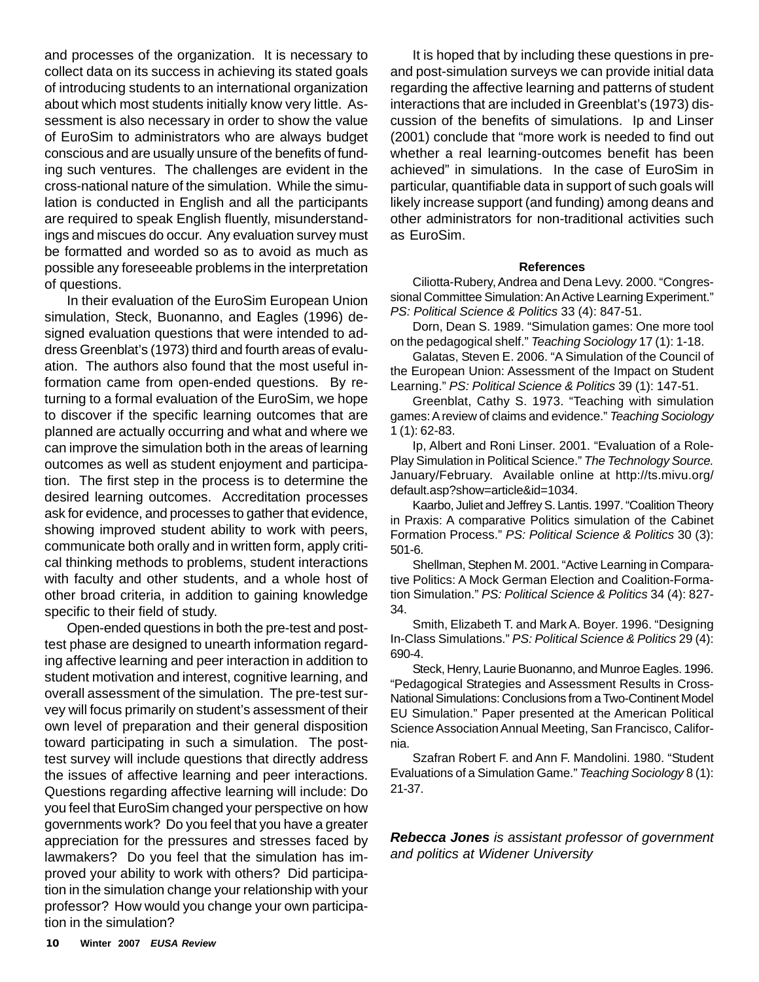and processes of the organization. It is necessary to collect data on its success in achieving its stated goals of introducing students to an international organization about which most students initially know very little. Assessment is also necessary in order to show the value of EuroSim to administrators who are always budget conscious and are usually unsure of the benefits of funding such ventures. The challenges are evident in the cross-national nature of the simulation. While the simulation is conducted in English and all the participants are required to speak English fluently, misunderstandings and miscues do occur. Any evaluation survey must be formatted and worded so as to avoid as much as possible any foreseeable problems in the interpretation of questions.

In their evaluation of the EuroSim European Union simulation, Steck, Buonanno, and Eagles (1996) designed evaluation questions that were intended to address Greenblat's (1973) third and fourth areas of evaluation. The authors also found that the most useful information came from open-ended questions. By returning to a formal evaluation of the EuroSim, we hope to discover if the specific learning outcomes that are planned are actually occurring and what and where we can improve the simulation both in the areas of learning outcomes as well as student enjoyment and participation. The first step in the process is to determine the desired learning outcomes. Accreditation processes ask for evidence, and processes to gather that evidence, showing improved student ability to work with peers, communicate both orally and in written form, apply critical thinking methods to problems, student interactions with faculty and other students, and a whole host of other broad criteria, in addition to gaining knowledge specific to their field of study.

Open-ended questions in both the pre-test and posttest phase are designed to unearth information regarding affective learning and peer interaction in addition to student motivation and interest, cognitive learning, and overall assessment of the simulation. The pre-test survey will focus primarily on student's assessment of their own level of preparation and their general disposition toward participating in such a simulation. The posttest survey will include questions that directly address the issues of affective learning and peer interactions. Questions regarding affective learning will include: Do you feel that EuroSim changed your perspective on how governments work? Do you feel that you have a greater appreciation for the pressures and stresses faced by lawmakers? Do you feel that the simulation has improved your ability to work with others? Did participation in the simulation change your relationship with your professor? How would you change your own participation in the simulation?

It is hoped that by including these questions in preand post-simulation surveys we can provide initial data regarding the affective learning and patterns of student interactions that are included in Greenblat's (1973) discussion of the benefits of simulations. Ip and Linser (2001) conclude that "more work is needed to find out whether a real learning-outcomes benefit has been achieved" in simulations. In the case of EuroSim in particular, quantifiable data in support of such goals will likely increase support (and funding) among deans and other administrators for non-traditional activities such as EuroSim.

#### **References**

Ciliotta-Rubery, Andrea and Dena Levy. 2000. "Congressional Committee Simulation: An Active Learning Experiment." *PS: Political Science & Politics* 33 (4): 847-51.

Dorn, Dean S. 1989. "Simulation games: One more tool on the pedagogical shelf." *Teaching Sociology* 17 (1): 1-18.

Galatas, Steven E. 2006. "A Simulation of the Council of the European Union: Assessment of the Impact on Student Learning." *PS: Political Science & Politics* 39 (1): 147-51.

Greenblat, Cathy S. 1973. "Teaching with simulation games: A review of claims and evidence." *Teaching Sociology* 1 (1): 62-83.

Ip, Albert and Roni Linser. 2001. "Evaluation of a Role-Play Simulation in Political Science." *The Technology Source.* January/February. Available online at http://ts.mivu.org/ default.asp?show=article&id=1034.

Kaarbo, Juliet and Jeffrey S. Lantis. 1997. "Coalition Theory in Praxis: A comparative Politics simulation of the Cabinet Formation Process." *PS: Political Science & Politics* 30 (3): 501-6.

Shellman, Stephen M. 2001. "Active Learning in Comparative Politics: A Mock German Election and Coalition-Formation Simulation." *PS: Political Science & Politics* 34 (4): 827- 34.

Smith, Elizabeth T. and Mark A. Boyer. 1996. "Designing In-Class Simulations." *PS: Political Science & Politics* 29 (4): 690-4.

Steck, Henry, Laurie Buonanno, and Munroe Eagles. 1996. "Pedagogical Strategies and Assessment Results in Cross-National Simulations: Conclusions from a Two-Continent Model EU Simulation." Paper presented at the American Political Science Association Annual Meeting, San Francisco, California.

Szafran Robert F. and Ann F. Mandolini. 1980. "Student Evaluations of a Simulation Game." *Teaching Sociology* 8 (1): 21-37.

*Rebecca Jones is assistant professor of government and politics at Widener University*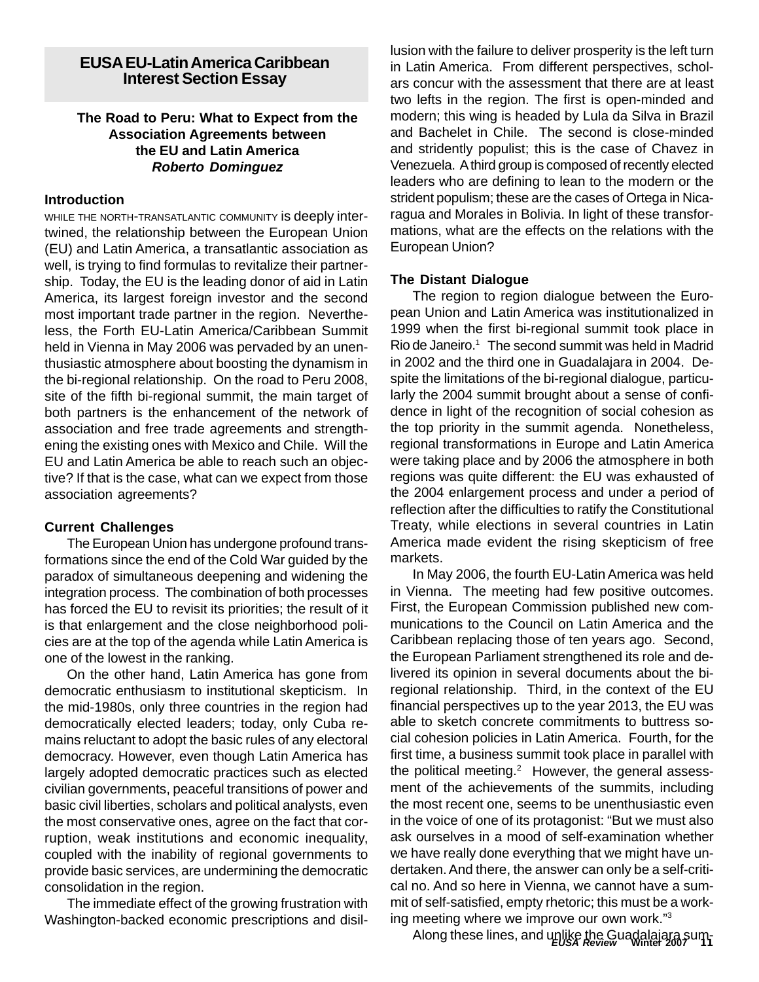#### **EUSA EU-Latin America Caribbean Interest Section Essay**

#### **The Road to Peru: What to Expect from the Association Agreements between the EU and Latin America** *Roberto Dominguez*

#### **Introduction**

WHILE THE NORTH-TRANSATLANTIC COMMUNITY is deeply intertwined, the relationship between the European Union (EU) and Latin America, a transatlantic association as well, is trying to find formulas to revitalize their partnership. Today, the EU is the leading donor of aid in Latin America, its largest foreign investor and the second most important trade partner in the region. Nevertheless, the Forth EU-Latin America/Caribbean Summit held in Vienna in May 2006 was pervaded by an unenthusiastic atmosphere about boosting the dynamism in the bi-regional relationship. On the road to Peru 2008, site of the fifth bi-regional summit, the main target of both partners is the enhancement of the network of association and free trade agreements and strengthening the existing ones with Mexico and Chile. Will the EU and Latin America be able to reach such an objective? If that is the case, what can we expect from those association agreements?

#### **Current Challenges**

The European Union has undergone profound transformations since the end of the Cold War guided by the paradox of simultaneous deepening and widening the integration process. The combination of both processes has forced the EU to revisit its priorities; the result of it is that enlargement and the close neighborhood policies are at the top of the agenda while Latin America is one of the lowest in the ranking.

On the other hand, Latin America has gone from democratic enthusiasm to institutional skepticism. In the mid-1980s, only three countries in the region had democratically elected leaders; today, only Cuba remains reluctant to adopt the basic rules of any electoral democracy. However, even though Latin America has largely adopted democratic practices such as elected civilian governments, peaceful transitions of power and basic civil liberties, scholars and political analysts, even the most conservative ones, agree on the fact that corruption, weak institutions and economic inequality, coupled with the inability of regional governments to provide basic services, are undermining the democratic consolidation in the region.

The immediate effect of the growing frustration with Washington-backed economic prescriptions and disillusion with the failure to deliver prosperity is the left turn in Latin America. From different perspectives, scholars concur with the assessment that there are at least two lefts in the region. The first is open-minded and modern; this wing is headed by Lula da Silva in Brazil and Bachelet in Chile. The second is close-minded and stridently populist; this is the case of Chavez in Venezuela. A third group is composed of recently elected leaders who are defining to lean to the modern or the strident populism; these are the cases of Ortega in Nicaragua and Morales in Bolivia. In light of these transformations, what are the effects on the relations with the European Union?

#### **The Distant Dialogue**

The region to region dialogue between the European Union and Latin America was institutionalized in 1999 when the first bi-regional summit took place in Rio de Janeiro.<sup>1</sup> The second summit was held in Madrid in 2002 and the third one in Guadalajara in 2004. Despite the limitations of the bi-regional dialogue, particularly the 2004 summit brought about a sense of confidence in light of the recognition of social cohesion as the top priority in the summit agenda. Nonetheless, regional transformations in Europe and Latin America were taking place and by 2006 the atmosphere in both regions was quite different: the EU was exhausted of the 2004 enlargement process and under a period of reflection after the difficulties to ratify the Constitutional Treaty, while elections in several countries in Latin America made evident the rising skepticism of free markets.

In May 2006, the fourth EU-Latin America was held in Vienna. The meeting had few positive outcomes. First, the European Commission published new communications to the Council on Latin America and the Caribbean replacing those of ten years ago. Second, the European Parliament strengthened its role and delivered its opinion in several documents about the biregional relationship. Third, in the context of the EU financial perspectives up to the year 2013, the EU was able to sketch concrete commitments to buttress social cohesion policies in Latin America. Fourth, for the first time, a business summit took place in parallel with the political meeting.<sup>2</sup> However, the general assessment of the achievements of the summits, including the most recent one, seems to be unenthusiastic even in the voice of one of its protagonist: "But we must also ask ourselves in a mood of self-examination whether we have really done everything that we might have undertaken. And there, the answer can only be a self-critical no. And so here in Vienna, we cannot have a summit of self-satisfied, empty rhetoric; this must be a working meeting where we improve our own work."3

*EUSA Review* **Winter 2007 11** Along these lines, and unlike the Guadalajara sum-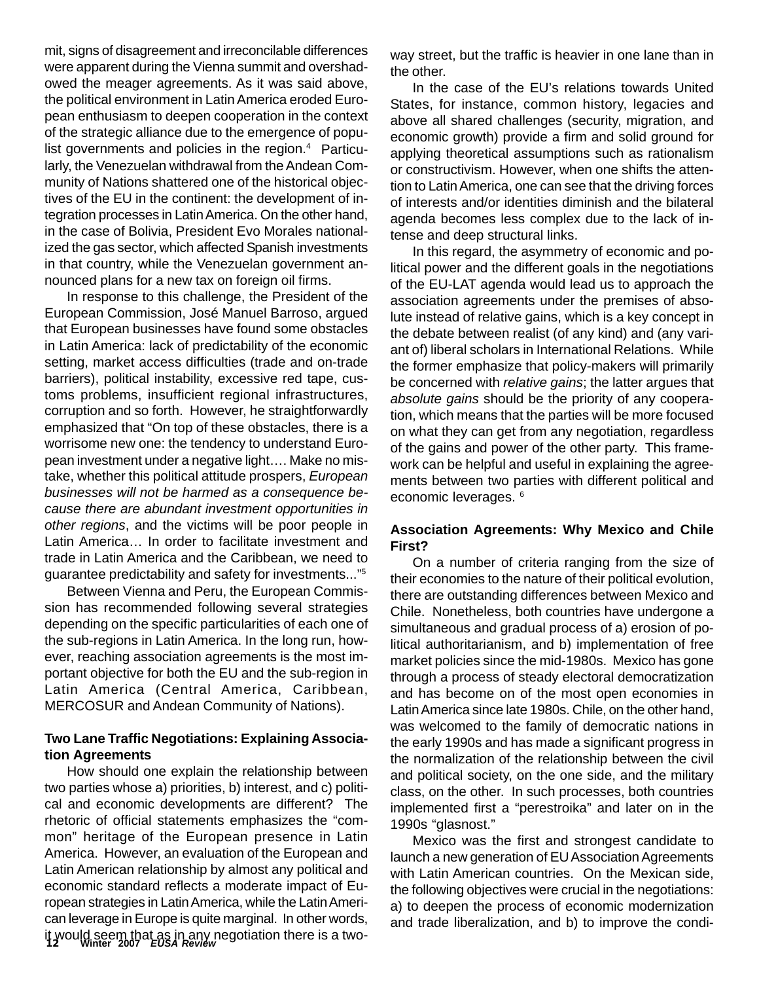mit, signs of disagreement and irreconcilable differences were apparent during the Vienna summit and overshadowed the meager agreements. As it was said above, the political environment in Latin America eroded European enthusiasm to deepen cooperation in the context of the strategic alliance due to the emergence of populist governments and policies in the region.<sup>4</sup> Particularly, the Venezuelan withdrawal from the Andean Community of Nations shattered one of the historical objectives of the EU in the continent: the development of integration processes in Latin America. On the other hand, in the case of Bolivia, President Evo Morales nationalized the gas sector, which affected Spanish investments in that country, while the Venezuelan government announced plans for a new tax on foreign oil firms.

In response to this challenge, the President of the European Commission, José Manuel Barroso, argued that European businesses have found some obstacles in Latin America: lack of predictability of the economic setting, market access difficulties (trade and on-trade barriers), political instability, excessive red tape, customs problems, insufficient regional infrastructures, corruption and so forth. However, he straightforwardly emphasized that "On top of these obstacles, there is a worrisome new one: the tendency to understand European investment under a negative light…. Make no mistake, whether this political attitude prospers, *European businesses will not be harmed as a consequence because there are abundant investment opportunities in other regions*, and the victims will be poor people in Latin America… In order to facilitate investment and trade in Latin America and the Caribbean, we need to guarantee predictability and safety for investments..."5

Between Vienna and Peru, the European Commission has recommended following several strategies depending on the specific particularities of each one of the sub-regions in Latin America. In the long run, however, reaching association agreements is the most important objective for both the EU and the sub-region in Latin America (Central America, Caribbean, MERCOSUR and Andean Community of Nations).

#### **Two Lane Traffic Negotiations: Explaining Association Agreements**

**12 Winter 2007** *EUSA Review* it would seem that as in any negotiation there is a two-How should one explain the relationship between two parties whose a) priorities, b) interest, and c) political and economic developments are different? The rhetoric of official statements emphasizes the "common" heritage of the European presence in Latin America. However, an evaluation of the European and Latin American relationship by almost any political and economic standard reflects a moderate impact of European strategies in Latin America, while the Latin American leverage in Europe is quite marginal. In other words,

way street, but the traffic is heavier in one lane than in the other.

In the case of the EU's relations towards United States, for instance, common history, legacies and above all shared challenges (security, migration, and economic growth) provide a firm and solid ground for applying theoretical assumptions such as rationalism or constructivism. However, when one shifts the attention to Latin America, one can see that the driving forces of interests and/or identities diminish and the bilateral agenda becomes less complex due to the lack of intense and deep structural links.

In this regard, the asymmetry of economic and political power and the different goals in the negotiations of the EU-LAT agenda would lead us to approach the association agreements under the premises of absolute instead of relative gains, which is a key concept in the debate between realist (of any kind) and (any variant of) liberal scholars in International Relations. While the former emphasize that policy-makers will primarily be concerned with *relative gains*; the latter argues that *absolute gains* should be the priority of any cooperation, which means that the parties will be more focused on what they can get from any negotiation, regardless of the gains and power of the other party. This framework can be helpful and useful in explaining the agreements between two parties with different political and economic leverages. 6

#### **Association Agreements: Why Mexico and Chile First?**

On a number of criteria ranging from the size of their economies to the nature of their political evolution, there are outstanding differences between Mexico and Chile. Nonetheless, both countries have undergone a simultaneous and gradual process of a) erosion of political authoritarianism, and b) implementation of free market policies since the mid-1980s. Mexico has gone through a process of steady electoral democratization and has become on of the most open economies in Latin America since late 1980s. Chile, on the other hand, was welcomed to the family of democratic nations in the early 1990s and has made a significant progress in the normalization of the relationship between the civil and political society, on the one side, and the military class, on the other. In such processes, both countries implemented first a "perestroika" and later on in the 1990s "glasnost."

Mexico was the first and strongest candidate to launch a new generation of EU Association Agreements with Latin American countries. On the Mexican side, the following objectives were crucial in the negotiations: a) to deepen the process of economic modernization and trade liberalization, and b) to improve the condi-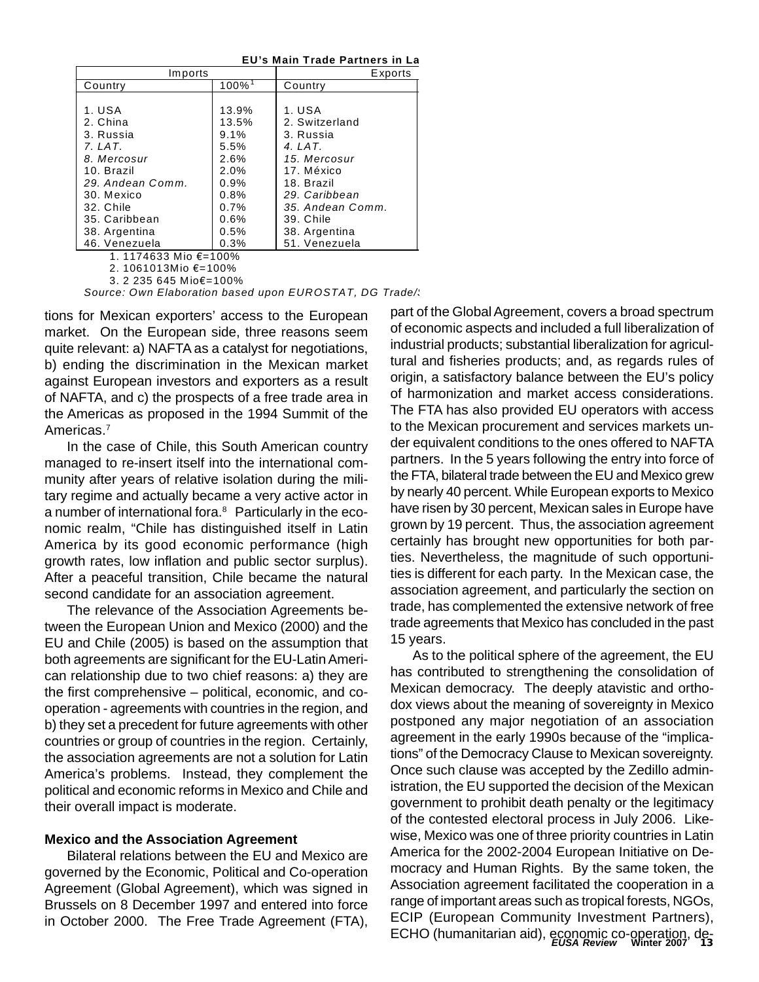**EU's Main Trade Partners in Lat**

| Imports               | Exports              |                  |
|-----------------------|----------------------|------------------|
| Country               | $100\%$ <sup>1</sup> | Country          |
|                       |                      |                  |
| 1. USA                | 13.9%                | 1. USA           |
| 2. China              | 13.5%                | 2. Switzerland   |
| 3. Russia             | 9.1%                 | 3. Russia        |
| $Z.$ LAT.             | 5.5%                 | 4. LAT.          |
| 8. Mercosur           | 2.6%                 | 15. Mercosur     |
| 10. Brazil            | 2.0%                 | 17. México       |
| 29. Andean Comm.      | 0.9%                 | 18. Brazil       |
| 30. Mexico            | 0.8%                 | 29. Caribbean    |
| 32. Chile             | 0.7%                 | 35. Andean Comm. |
| 35. Caribbean         | 0.6%                 | 39. Chile        |
| 38. Argentina         | 0.5%                 | 38. Argentina    |
| 46. Venezuela         | 0.3%                 | 51. Venezuela    |
| 1. 1174633 Mio €=100% |                      |                  |

2. 1061013Mio €=100%

3. 2 235 645 Mio€=100%

Source: Own Elaboration based upon EUROSTAT, DG Trade/

tions for Mexican exporters' access to the European market. On the European side, three reasons seem quite relevant: a) NAFTA as a catalyst for negotiations, b) ending the discrimination in the Mexican market against European investors and exporters as a result of NAFTA, and c) the prospects of a free trade area in the Americas as proposed in the 1994 Summit of the Americas.7

In the case of Chile, this South American country managed to re-insert itself into the international community after years of relative isolation during the military regime and actually became a very active actor in a number of international fora.<sup>8</sup> Particularly in the economic realm, "Chile has distinguished itself in Latin America by its good economic performance (high growth rates, low inflation and public sector surplus). After a peaceful transition, Chile became the natural second candidate for an association agreement.

The relevance of the Association Agreements between the European Union and Mexico (2000) and the EU and Chile (2005) is based on the assumption that both agreements are significant for the EU-Latin American relationship due to two chief reasons: a) they are the first comprehensive – political, economic, and cooperation - agreements with countries in the region, and b) they set a precedent for future agreements with other countries or group of countries in the region. Certainly, the association agreements are not a solution for Latin America's problems. Instead, they complement the political and economic reforms in Mexico and Chile and their overall impact is moderate.

#### **Mexico and the Association Agreement**

Bilateral relations between the EU and Mexico are governed by the Economic, Political and Co-operation Agreement (Global Agreement), which was signed in Brussels on 8 December 1997 and entered into force in October 2000. The Free Trade Agreement (FTA),

part of the Global Agreement, covers a broad spectrum of economic aspects and included a full liberalization of industrial products; substantial liberalization for agricultural and fisheries products; and, as regards rules of origin, a satisfactory balance between the EU's policy of harmonization and market access considerations. The FTA has also provided EU operators with access to the Mexican procurement and services markets under equivalent conditions to the ones offered to NAFTA partners. In the 5 years following the entry into force of the FTA, bilateral trade between the EU and Mexico grew by nearly 40 percent. While European exports to Mexico have risen by 30 percent, Mexican sales in Europe have grown by 19 percent. Thus, the association agreement certainly has brought new opportunities for both parties. Nevertheless, the magnitude of such opportunities is different for each party. In the Mexican case, the association agreement, and particularly the section on trade, has complemented the extensive network of free trade agreements that Mexico has concluded in the past 15 years.

*EUSA Review* **Winter 2007 13** ECHO (humanitarian aid), economic co-operation, de-As to the political sphere of the agreement, the EU has contributed to strengthening the consolidation of Mexican democracy. The deeply atavistic and orthodox views about the meaning of sovereignty in Mexico postponed any major negotiation of an association agreement in the early 1990s because of the "implications" of the Democracy Clause to Mexican sovereignty. Once such clause was accepted by the Zedillo administration, the EU supported the decision of the Mexican government to prohibit death penalty or the legitimacy of the contested electoral process in July 2006. Likewise, Mexico was one of three priority countries in Latin America for the 2002-2004 European Initiative on Democracy and Human Rights. By the same token, the Association agreement facilitated the cooperation in a range of important areas such as tropical forests, NGOs, ECIP (European Community Investment Partners),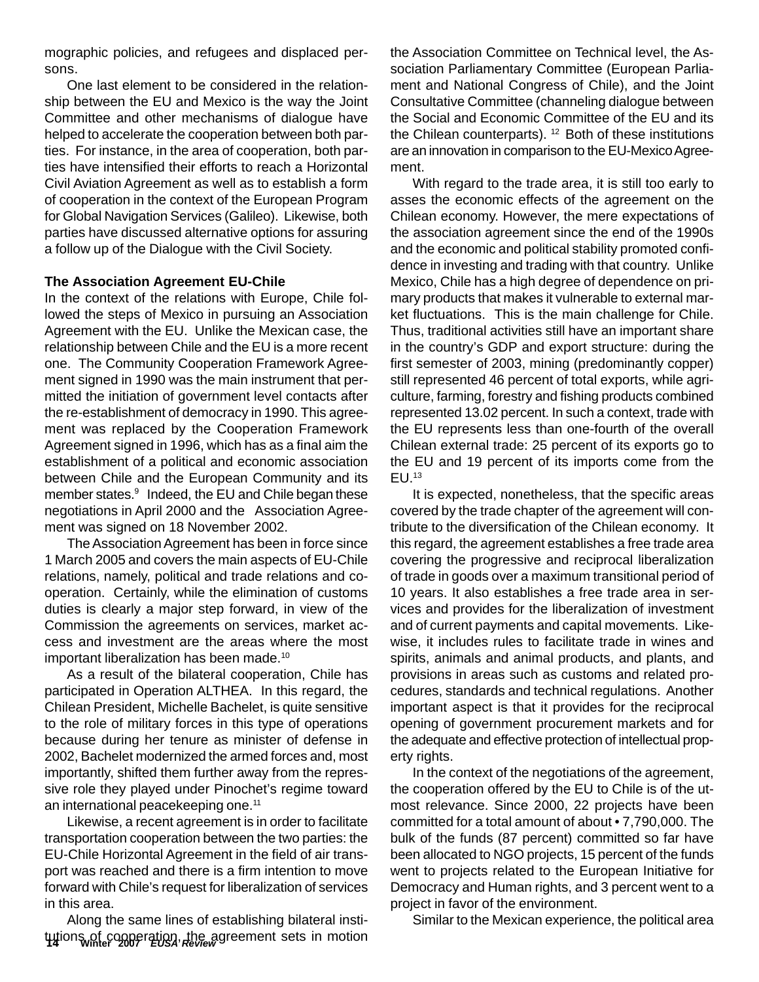mographic policies, and refugees and displaced persons.

One last element to be considered in the relationship between the EU and Mexico is the way the Joint Committee and other mechanisms of dialogue have helped to accelerate the cooperation between both parties. For instance, in the area of cooperation, both parties have intensified their efforts to reach a Horizontal Civil Aviation Agreement as well as to establish a form of cooperation in the context of the European Program for Global Navigation Services (Galileo). Likewise, both parties have discussed alternative options for assuring a follow up of the Dialogue with the Civil Society.

#### **The Association Agreement EU-Chile**

In the context of the relations with Europe, Chile followed the steps of Mexico in pursuing an Association Agreement with the EU. Unlike the Mexican case, the relationship between Chile and the EU is a more recent one. The Community Cooperation Framework Agreement signed in 1990 was the main instrument that permitted the initiation of government level contacts after the re-establishment of democracy in 1990. This agreement was replaced by the Cooperation Framework Agreement signed in 1996, which has as a final aim the establishment of a political and economic association between Chile and the European Community and its member states.9 Indeed, the EU and Chile began these negotiations in April 2000 and the Association Agreement was signed on 18 November 2002.

The Association Agreement has been in force since 1 March 2005 and covers the main aspects of EU-Chile relations, namely, political and trade relations and cooperation. Certainly, while the elimination of customs duties is clearly a major step forward, in view of the Commission the agreements on services, market access and investment are the areas where the most important liberalization has been made.<sup>10</sup>

As a result of the bilateral cooperation, Chile has participated in Operation ALTHEA. In this regard, the Chilean President, Michelle Bachelet, is quite sensitive to the role of military forces in this type of operations because during her tenure as minister of defense in 2002, Bachelet modernized the armed forces and, most importantly, shifted them further away from the repressive role they played under Pinochet's regime toward an international peacekeeping one.11

Likewise, a recent agreement is in order to facilitate transportation cooperation between the two parties: the EU-Chile Horizontal Agreement in the field of air transport was reached and there is a firm intention to move forward with Chile's request for liberalization of services in this area.

tutions of cooperation, the agreement sets in motion Along the same lines of establishing bilateral instithe Association Committee on Technical level, the Association Parliamentary Committee (European Parliament and National Congress of Chile), and the Joint Consultative Committee (channeling dialogue between the Social and Economic Committee of the EU and its the Chilean counterparts). <sup>12</sup> Both of these institutions are an innovation in comparison to the EU-Mexico Agreement.

With regard to the trade area, it is still too early to asses the economic effects of the agreement on the Chilean economy. However, the mere expectations of the association agreement since the end of the 1990s and the economic and political stability promoted confidence in investing and trading with that country. Unlike Mexico, Chile has a high degree of dependence on primary products that makes it vulnerable to external market fluctuations. This is the main challenge for Chile. Thus, traditional activities still have an important share in the country's GDP and export structure: during the first semester of 2003, mining (predominantly copper) still represented 46 percent of total exports, while agriculture, farming, forestry and fishing products combined represented 13.02 percent. In such a context, trade with the EU represents less than one-fourth of the overall Chilean external trade: 25 percent of its exports go to the EU and 19 percent of its imports come from the EU.13

It is expected, nonetheless, that the specific areas covered by the trade chapter of the agreement will contribute to the diversification of the Chilean economy. It this regard, the agreement establishes a free trade area covering the progressive and reciprocal liberalization of trade in goods over a maximum transitional period of 10 years. It also establishes a free trade area in services and provides for the liberalization of investment and of current payments and capital movements. Likewise, it includes rules to facilitate trade in wines and spirits, animals and animal products, and plants, and provisions in areas such as customs and related procedures, standards and technical regulations. Another important aspect is that it provides for the reciprocal opening of government procurement markets and for the adequate and effective protection of intellectual property rights.

In the context of the negotiations of the agreement, the cooperation offered by the EU to Chile is of the utmost relevance. Since 2000, 22 projects have been committed for a total amount of about • 7,790,000. The bulk of the funds (87 percent) committed so far have been allocated to NGO projects, 15 percent of the funds went to projects related to the European Initiative for Democracy and Human rights, and 3 percent went to a project in favor of the environment.

Similar to the Mexican experience, the political area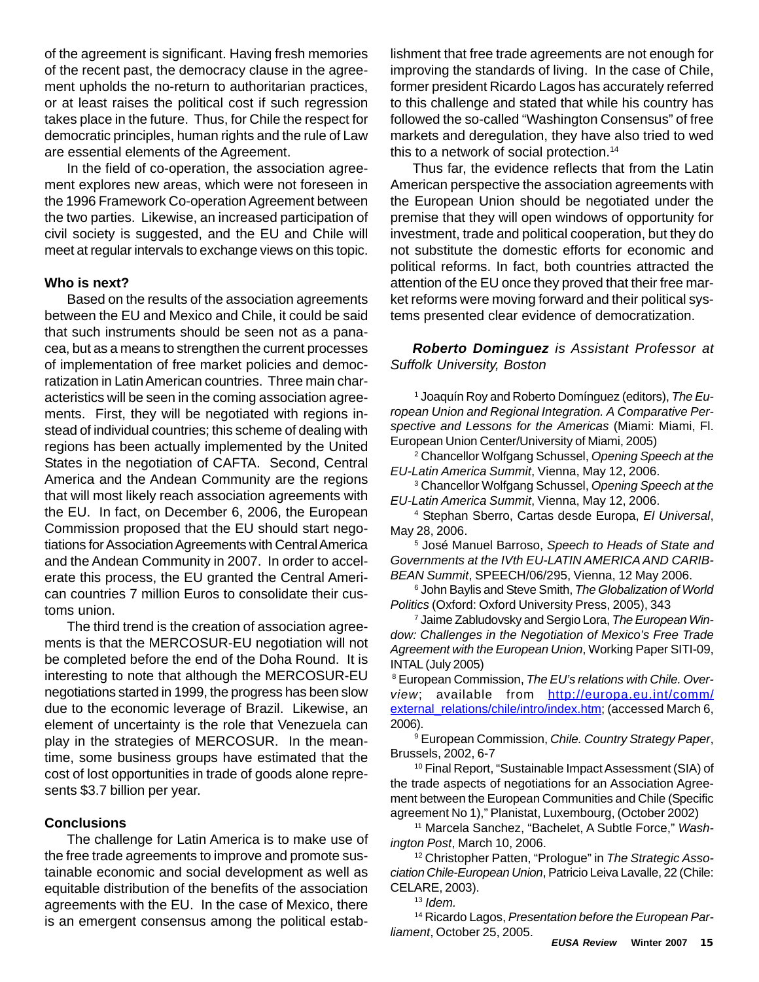of the agreement is significant. Having fresh memories of the recent past, the democracy clause in the agreement upholds the no-return to authoritarian practices, or at least raises the political cost if such regression takes place in the future. Thus, for Chile the respect for democratic principles, human rights and the rule of Law are essential elements of the Agreement.

In the field of co-operation, the association agreement explores new areas, which were not foreseen in the 1996 Framework Co-operation Agreement between the two parties. Likewise, an increased participation of civil society is suggested, and the EU and Chile will meet at regular intervals to exchange views on this topic.

#### **Who is next?**

Based on the results of the association agreements between the EU and Mexico and Chile, it could be said that such instruments should be seen not as a panacea, but as a means to strengthen the current processes of implementation of free market policies and democratization in Latin American countries. Three main characteristics will be seen in the coming association agreements. First, they will be negotiated with regions instead of individual countries; this scheme of dealing with regions has been actually implemented by the United States in the negotiation of CAFTA. Second, Central America and the Andean Community are the regions that will most likely reach association agreements with the EU. In fact, on December 6, 2006, the European Commission proposed that the EU should start negotiations for Association Agreements with Central America and the Andean Community in 2007. In order to accelerate this process, the EU granted the Central American countries 7 million Euros to consolidate their customs union.

The third trend is the creation of association agreements is that the MERCOSUR-EU negotiation will not be completed before the end of the Doha Round. It is interesting to note that although the MERCOSUR-EU negotiations started in 1999, the progress has been slow due to the economic leverage of Brazil. Likewise, an element of uncertainty is the role that Venezuela can play in the strategies of MERCOSUR. In the meantime, some business groups have estimated that the cost of lost opportunities in trade of goods alone represents \$3.7 billion per year.

#### **Conclusions**

The challenge for Latin America is to make use of the free trade agreements to improve and promote sustainable economic and social development as well as equitable distribution of the benefits of the association agreements with the EU. In the case of Mexico, there is an emergent consensus among the political establishment that free trade agreements are not enough for improving the standards of living. In the case of Chile, former president Ricardo Lagos has accurately referred to this challenge and stated that while his country has followed the so-called "Washington Consensus" of free markets and deregulation, they have also tried to wed this to a network of social protection.<sup>14</sup>

Thus far, the evidence reflects that from the Latin American perspective the association agreements with the European Union should be negotiated under the premise that they will open windows of opportunity for investment, trade and political cooperation, but they do not substitute the domestic efforts for economic and political reforms. In fact, both countries attracted the attention of the EU once they proved that their free market reforms were moving forward and their political systems presented clear evidence of democratization.

*Roberto Dominguez is Assistant Professor at Suffolk University, Boston*

1 Joaquín Roy and Roberto Domínguez (editors), *The European Union and Regional Integration. A Comparative Perspective and Lessons for the Americas* (Miami: Miami, Fl. European Union Center/University of Miami, 2005)

2 Chancellor Wolfgang Schussel, *Opening Speech at the EU-Latin America Summit*, Vienna, May 12, 2006.

3 Chancellor Wolfgang Schussel, *Opening Speech at the EU-Latin America Summit*, Vienna, May 12, 2006.

4 Stephan Sberro, Cartas desde Europa, *El Universal*, May 28, 2006.

5 José Manuel Barroso, *Speech to Heads of State and Governments at the IVth EU-LATIN AMERICA AND CARIB-BEAN Summit*, SPEECH/06/295, Vienna, 12 May 2006.

6 John Baylis and Steve Smith, *The Globalization of World Politics* (Oxford: Oxford University Press, 2005), 343

7 Jaime Zabludovsky and Sergio Lora, *The European Window: Challenges in the Negotiation of Mexico's Free Trade Agreement with the European Union*, Working Paper SITI-09, INTAL (July 2005)

8 European Commission, *The EU's relations with Chile. Overview*; available from http://europa.eu.int/comm/ external\_relations/chile/intro/index.htm; (accessed March 6, 2006).

9 European Commission, *Chile. Country Strategy Paper*, Brussels, 2002, 6-7

10 Final Report, "Sustainable Impact Assessment (SIA) of the trade aspects of negotiations for an Association Agreement between the European Communities and Chile (Specific agreement No 1)," Planistat, Luxembourg, (October 2002)

11 Marcela Sanchez, "Bachelet, A Subtle Force," *Washington Post*, March 10, 2006.

12 Christopher Patten, "Prologue" in *The Strategic Association Chile-European Union*, Patricio Leiva Lavalle, 22 (Chile: CELARE, 2003).

<sup>13</sup> *Idem.*

14 Ricardo Lagos, *Presentation before the European Parliament*, October 25, 2005.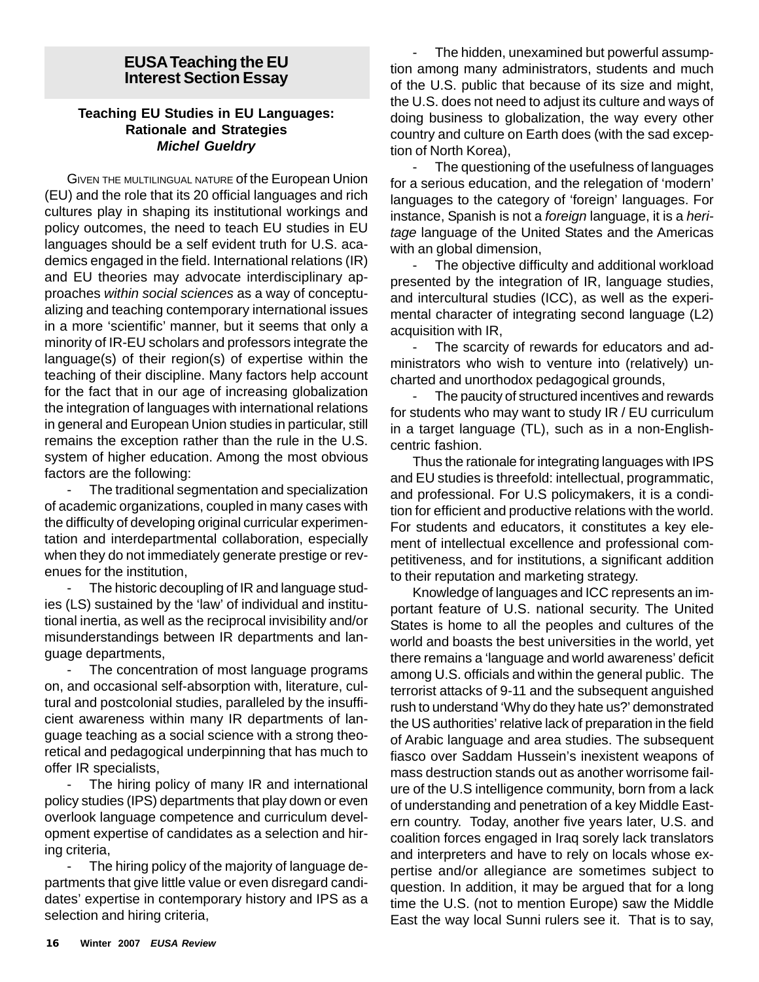#### **EUSA Teaching the EU Interest Section Essay**

#### **Teaching EU Studies in EU Languages: Rationale and Strategies** *Michel Gueldry*

GIVEN THE MULTILINGUAL NATURE of the European Union (EU) and the role that its 20 official languages and rich cultures play in shaping its institutional workings and policy outcomes, the need to teach EU studies in EU languages should be a self evident truth for U.S. academics engaged in the field. International relations (IR) and EU theories may advocate interdisciplinary approaches *within social sciences* as a way of conceptualizing and teaching contemporary international issues in a more 'scientific' manner, but it seems that only a minority of IR-EU scholars and professors integrate the language(s) of their region(s) of expertise within the teaching of their discipline. Many factors help account for the fact that in our age of increasing globalization the integration of languages with international relations in general and European Union studies in particular, still remains the exception rather than the rule in the U.S. system of higher education. Among the most obvious factors are the following:

The traditional segmentation and specialization of academic organizations, coupled in many cases with the difficulty of developing original curricular experimentation and interdepartmental collaboration, especially when they do not immediately generate prestige or revenues for the institution,

The historic decoupling of IR and language studies (LS) sustained by the 'law' of individual and institutional inertia, as well as the reciprocal invisibility and/or misunderstandings between IR departments and language departments,

The concentration of most language programs on, and occasional self-absorption with, literature, cultural and postcolonial studies, paralleled by the insufficient awareness within many IR departments of language teaching as a social science with a strong theoretical and pedagogical underpinning that has much to offer IR specialists,

The hiring policy of many IR and international policy studies (IPS) departments that play down or even overlook language competence and curriculum development expertise of candidates as a selection and hiring criteria,

The hiring policy of the majority of language departments that give little value or even disregard candidates' expertise in contemporary history and IPS as a selection and hiring criteria,

The hidden, unexamined but powerful assumption among many administrators, students and much of the U.S. public that because of its size and might, the U.S. does not need to adjust its culture and ways of doing business to globalization, the way every other country and culture on Earth does (with the sad exception of North Korea),

The questioning of the usefulness of languages for a serious education, and the relegation of 'modern' languages to the category of 'foreign' languages. For instance, Spanish is not a *foreign* language, it is a *heritage* language of the United States and the Americas with an global dimension,

- The objective difficulty and additional workload presented by the integration of IR, language studies, and intercultural studies (ICC), as well as the experimental character of integrating second language (L2) acquisition with IR,

The scarcity of rewards for educators and administrators who wish to venture into (relatively) uncharted and unorthodox pedagogical grounds,

The paucity of structured incentives and rewards for students who may want to study IR / EU curriculum in a target language (TL), such as in a non-Englishcentric fashion.

Thus the rationale for integrating languages with IPS and EU studies is threefold: intellectual, programmatic, and professional. For U.S policymakers, it is a condition for efficient and productive relations with the world. For students and educators, it constitutes a key element of intellectual excellence and professional competitiveness, and for institutions, a significant addition to their reputation and marketing strategy.

Knowledge of languages and ICC represents an important feature of U.S. national security. The United States is home to all the peoples and cultures of the world and boasts the best universities in the world, yet there remains a 'language and world awareness' deficit among U.S. officials and within the general public. The terrorist attacks of 9-11 and the subsequent anguished rush to understand 'Why do they hate us?' demonstrated the US authorities' relative lack of preparation in the field of Arabic language and area studies. The subsequent fiasco over Saddam Hussein's inexistent weapons of mass destruction stands out as another worrisome failure of the U.S intelligence community, born from a lack of understanding and penetration of a key Middle Eastern country. Today, another five years later, U.S. and coalition forces engaged in Iraq sorely lack translators and interpreters and have to rely on locals whose expertise and/or allegiance are sometimes subject to question. In addition, it may be argued that for a long time the U.S. (not to mention Europe) saw the Middle East the way local Sunni rulers see it. That is to say,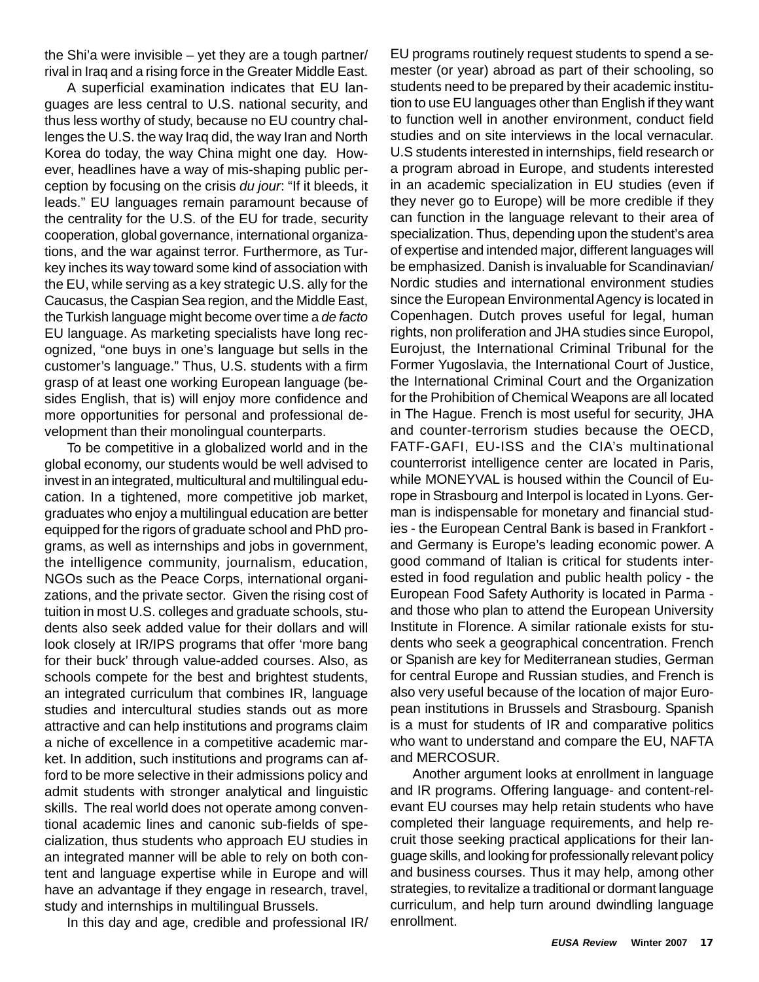the Shi'a were invisible – yet they are a tough partner/ rival in Iraq and a rising force in the Greater Middle East.

A superficial examination indicates that EU languages are less central to U.S. national security, and thus less worthy of study, because no EU country challenges the U.S. the way Iraq did, the way Iran and North Korea do today, the way China might one day. However, headlines have a way of mis-shaping public perception by focusing on the crisis *du jour*: "If it bleeds, it leads." EU languages remain paramount because of the centrality for the U.S. of the EU for trade, security cooperation, global governance, international organizations, and the war against terror. Furthermore, as Turkey inches its way toward some kind of association with the EU, while serving as a key strategic U.S. ally for the Caucasus, the Caspian Sea region, and the Middle East, the Turkish language might become over time a *de facto* EU language. As marketing specialists have long recognized, "one buys in one's language but sells in the customer's language." Thus, U.S. students with a firm grasp of at least one working European language (besides English, that is) will enjoy more confidence and more opportunities for personal and professional development than their monolingual counterparts.

To be competitive in a globalized world and in the global economy, our students would be well advised to invest in an integrated, multicultural and multilingual education. In a tightened, more competitive job market, graduates who enjoy a multilingual education are better equipped for the rigors of graduate school and PhD programs, as well as internships and jobs in government, the intelligence community, journalism, education, NGOs such as the Peace Corps, international organizations, and the private sector. Given the rising cost of tuition in most U.S. colleges and graduate schools, students also seek added value for their dollars and will look closely at IR/IPS programs that offer 'more bang for their buck' through value-added courses. Also, as schools compete for the best and brightest students, an integrated curriculum that combines IR, language studies and intercultural studies stands out as more attractive and can help institutions and programs claim a niche of excellence in a competitive academic market. In addition, such institutions and programs can afford to be more selective in their admissions policy and admit students with stronger analytical and linguistic skills. The real world does not operate among conventional academic lines and canonic sub-fields of specialization, thus students who approach EU studies in an integrated manner will be able to rely on both content and language expertise while in Europe and will have an advantage if they engage in research, travel, study and internships in multilingual Brussels.

In this day and age, credible and professional IR/

EU programs routinely request students to spend a semester (or year) abroad as part of their schooling, so students need to be prepared by their academic institution to use EU languages other than English if they want to function well in another environment, conduct field studies and on site interviews in the local vernacular. U.S students interested in internships, field research or a program abroad in Europe, and students interested in an academic specialization in EU studies (even if they never go to Europe) will be more credible if they can function in the language relevant to their area of specialization. Thus, depending upon the student's area of expertise and intended major, different languages will be emphasized. Danish is invaluable for Scandinavian/ Nordic studies and international environment studies since the European Environmental Agency is located in Copenhagen. Dutch proves useful for legal, human rights, non proliferation and JHA studies since Europol, Eurojust, the International Criminal Tribunal for the Former Yugoslavia, the International Court of Justice, the International Criminal Court and the Organization for the Prohibition of Chemical Weapons are all located in The Hague. French is most useful for security, JHA and counter-terrorism studies because the OECD, FATF-GAFI, EU-ISS and the CIA's multinational counterrorist intelligence center are located in Paris, while MONEYVAL is housed within the Council of Europe in Strasbourg and Interpol is located in Lyons. German is indispensable for monetary and financial studies - the European Central Bank is based in Frankfort and Germany is Europe's leading economic power. A good command of Italian is critical for students interested in food regulation and public health policy - the European Food Safety Authority is located in Parma and those who plan to attend the European University Institute in Florence. A similar rationale exists for students who seek a geographical concentration. French or Spanish are key for Mediterranean studies, German for central Europe and Russian studies, and French is also very useful because of the location of major European institutions in Brussels and Strasbourg. Spanish is a must for students of IR and comparative politics who want to understand and compare the EU, NAFTA and MERCOSUR.

Another argument looks at enrollment in language and IR programs. Offering language- and content-relevant EU courses may help retain students who have completed their language requirements, and help recruit those seeking practical applications for their language skills, and looking for professionally relevant policy and business courses. Thus it may help, among other strategies, to revitalize a traditional or dormant language curriculum, and help turn around dwindling language enrollment.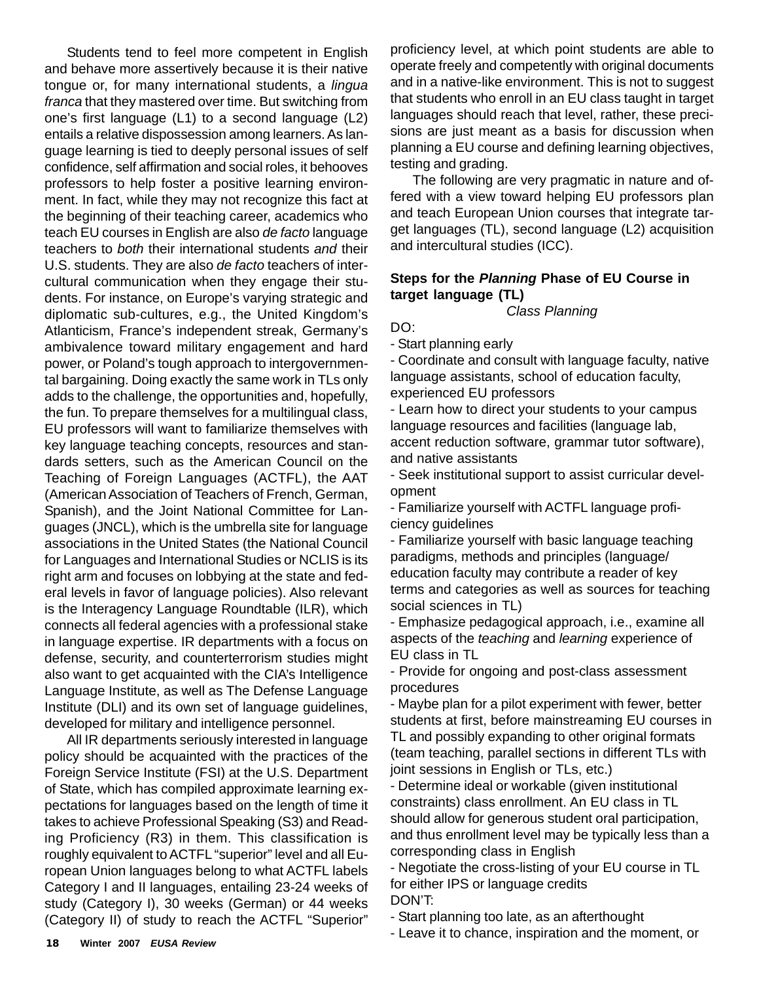Students tend to feel more competent in English and behave more assertively because it is their native tongue or, for many international students, a *lingua franca* that they mastered over time. But switching from one's first language (L1) to a second language (L2) entails a relative dispossession among learners. As language learning is tied to deeply personal issues of self confidence, self affirmation and social roles, it behooves professors to help foster a positive learning environment. In fact, while they may not recognize this fact at the beginning of their teaching career, academics who teach EU courses in English are also *de facto* language teachers to *both* their international students *and* their U.S. students. They are also *de facto* teachers of intercultural communication when they engage their students. For instance, on Europe's varying strategic and diplomatic sub-cultures, e.g., the United Kingdom's Atlanticism, France's independent streak, Germany's ambivalence toward military engagement and hard power, or Poland's tough approach to intergovernmental bargaining. Doing exactly the same work in TLs only adds to the challenge, the opportunities and, hopefully, the fun. To prepare themselves for a multilingual class, EU professors will want to familiarize themselves with key language teaching concepts, resources and standards setters, such as the American Council on the Teaching of Foreign Languages (ACTFL), the AAT (American Association of Teachers of French, German, Spanish), and the Joint National Committee for Languages (JNCL), which is the umbrella site for language associations in the United States (the National Council for Languages and International Studies or NCLIS is its right arm and focuses on lobbying at the state and federal levels in favor of language policies). Also relevant is the Interagency Language Roundtable (ILR), which connects all federal agencies with a professional stake in language expertise. IR departments with a focus on defense, security, and counterterrorism studies might also want to get acquainted with the CIA's Intelligence Language Institute, as well as The Defense Language Institute (DLI) and its own set of language guidelines, developed for military and intelligence personnel.

All IR departments seriously interested in language policy should be acquainted with the practices of the Foreign Service Institute (FSI) at the U.S. Department of State, which has compiled approximate learning expectations for languages based on the length of time it takes to achieve Professional Speaking (S3) and Reading Proficiency (R3) in them. This classification is roughly equivalent to ACTFL "superior" level and all European Union languages belong to what ACTFL labels Category I and II languages, entailing 23-24 weeks of study (Category I), 30 weeks (German) or 44 weeks (Category II) of study to reach the ACTFL "Superior"

proficiency level, at which point students are able to operate freely and competently with original documents and in a native-like environment. This is not to suggest that students who enroll in an EU class taught in target languages should reach that level, rather, these precisions are just meant as a basis for discussion when planning a EU course and defining learning objectives, testing and grading.

The following are very pragmatic in nature and offered with a view toward helping EU professors plan and teach European Union courses that integrate target languages (TL), second language (L2) acquisition and intercultural studies (ICC).

#### **Steps for the** *Planning* **Phase of EU Course in target language (TL)**

*Class Planning*

DO:

- Start planning early

- Coordinate and consult with language faculty, native language assistants, school of education faculty, experienced EU professors

- Learn how to direct your students to your campus language resources and facilities (language lab, accent reduction software, grammar tutor software), and native assistants

- Seek institutional support to assist curricular development

- Familiarize yourself with ACTFL language proficiency guidelines

- Familiarize yourself with basic language teaching paradigms, methods and principles (language/ education faculty may contribute a reader of key terms and categories as well as sources for teaching social sciences in TL)

- Emphasize pedagogical approach, i.e., examine all aspects of the *teaching* and *learning* experience of EU class in TL

- Provide for ongoing and post-class assessment procedures

- Maybe plan for a pilot experiment with fewer, better students at first, before mainstreaming EU courses in TL and possibly expanding to other original formats (team teaching, parallel sections in different TLs with joint sessions in English or TLs, etc.)

- Determine ideal or workable (given institutional constraints) class enrollment. An EU class in TL should allow for generous student oral participation, and thus enrollment level may be typically less than a corresponding class in English

- Negotiate the cross-listing of your EU course in TL for either IPS or language credits DON'T:

- Start planning too late, as an afterthought

- Leave it to chance, inspiration and the moment, or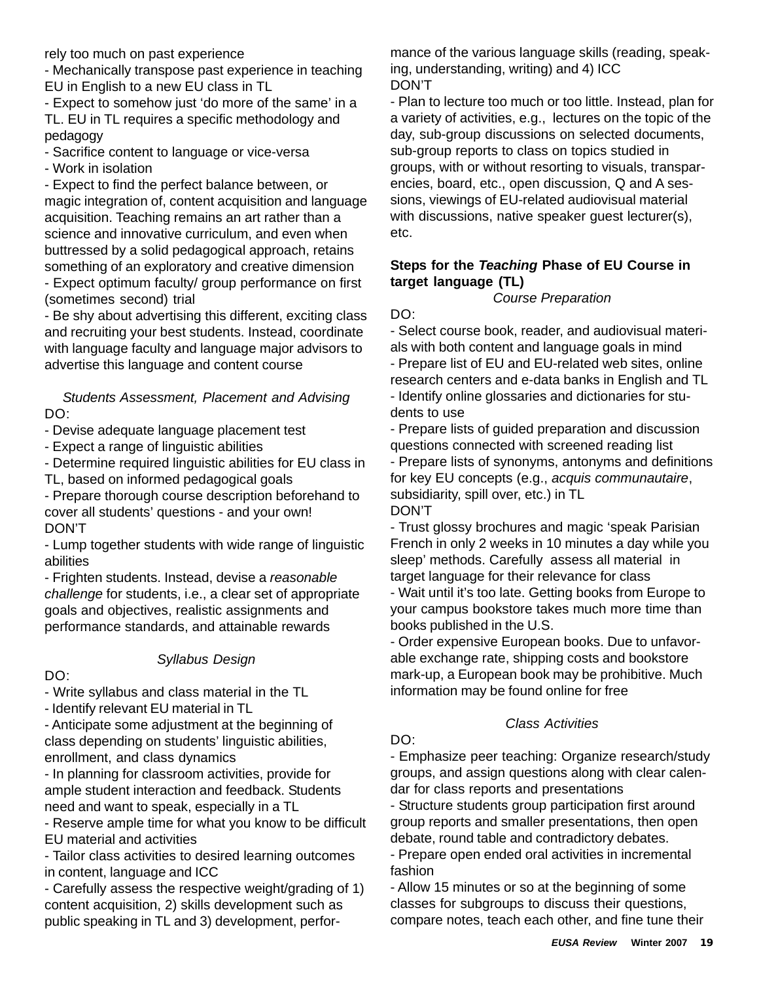rely too much on past experience

- Mechanically transpose past experience in teaching EU in English to a new EU class in TL

- Expect to somehow just 'do more of the same' in a TL. EU in TL requires a specific methodology and pedagogy

- Sacrifice content to language or vice-versa

- Work in isolation

- Expect to find the perfect balance between, or magic integration of, content acquisition and language acquisition. Teaching remains an art rather than a science and innovative curriculum, and even when buttressed by a solid pedagogical approach, retains something of an exploratory and creative dimension - Expect optimum faculty/ group performance on first (sometimes second) trial

- Be shy about advertising this different, exciting class and recruiting your best students. Instead, coordinate with language faculty and language major advisors to advertise this language and content course

*Students Assessment, Placement and Advising* DO:

- Devise adequate language placement test

- Expect a range of linguistic abilities

- Determine required linguistic abilities for EU class in TL, based on informed pedagogical goals

- Prepare thorough course description beforehand to cover all students' questions - and your own! DON'T

- Lump together students with wide range of linguistic abilities

- Frighten students. Instead, devise a *reasonable challenge* for students, i.e., a clear set of appropriate goals and objectives, realistic assignments and performance standards, and attainable rewards

#### *Syllabus Design*

#### DO:

- Write syllabus and class material in the TL

- Identify relevant EU material in TL

- Anticipate some adjustment at the beginning of class depending on students' linguistic abilities, enrollment, and class dynamics

- In planning for classroom activities, provide for ample student interaction and feedback. Students need and want to speak, especially in a TL

- Reserve ample time for what you know to be difficult EU material and activities

- Tailor class activities to desired learning outcomes in content, language and ICC

- Carefully assess the respective weight/grading of 1) content acquisition, 2) skills development such as public speaking in TL and 3) development, performance of the various language skills (reading, speaking, understanding, writing) and 4) ICC DON'T

- Plan to lecture too much or too little. Instead, plan for a variety of activities, e.g., lectures on the topic of the day, sub-group discussions on selected documents, sub-group reports to class on topics studied in groups, with or without resorting to visuals, transparencies, board, etc., open discussion, Q and A sessions, viewings of EU-related audiovisual material with discussions, native speaker guest lecturer(s), etc.

### **Steps for the** *Teaching* **Phase of EU Course in target language (TL)**

*Course Preparation*

#### DO:

- Select course book, reader, and audiovisual materials with both content and language goals in mind

- Prepare list of EU and EU-related web sites, online research centers and e-data banks in English and TL - Identify online glossaries and dictionaries for stu-

dents to use

- Prepare lists of guided preparation and discussion questions connected with screened reading list

- Prepare lists of synonyms, antonyms and definitions for key EU concepts (e.g., *acquis communautaire*, subsidiarity, spill over, etc.) in TL DON'T

- Trust glossy brochures and magic 'speak Parisian French in only 2 weeks in 10 minutes a day while you sleep' methods. Carefully assess all material in target language for their relevance for class - Wait until it's too late. Getting books from Europe to your campus bookstore takes much more time than books published in the U.S.

- Order expensive European books. Due to unfavorable exchange rate, shipping costs and bookstore mark-up, a European book may be prohibitive. Much information may be found online for free

#### *Class Activities*

#### DO:

- Emphasize peer teaching: Organize research/study groups, and assign questions along with clear calendar for class reports and presentations

- Structure students group participation first around group reports and smaller presentations, then open debate, round table and contradictory debates.

- Prepare open ended oral activities in incremental fashion

- Allow 15 minutes or so at the beginning of some classes for subgroups to discuss their questions, compare notes, teach each other, and fine tune their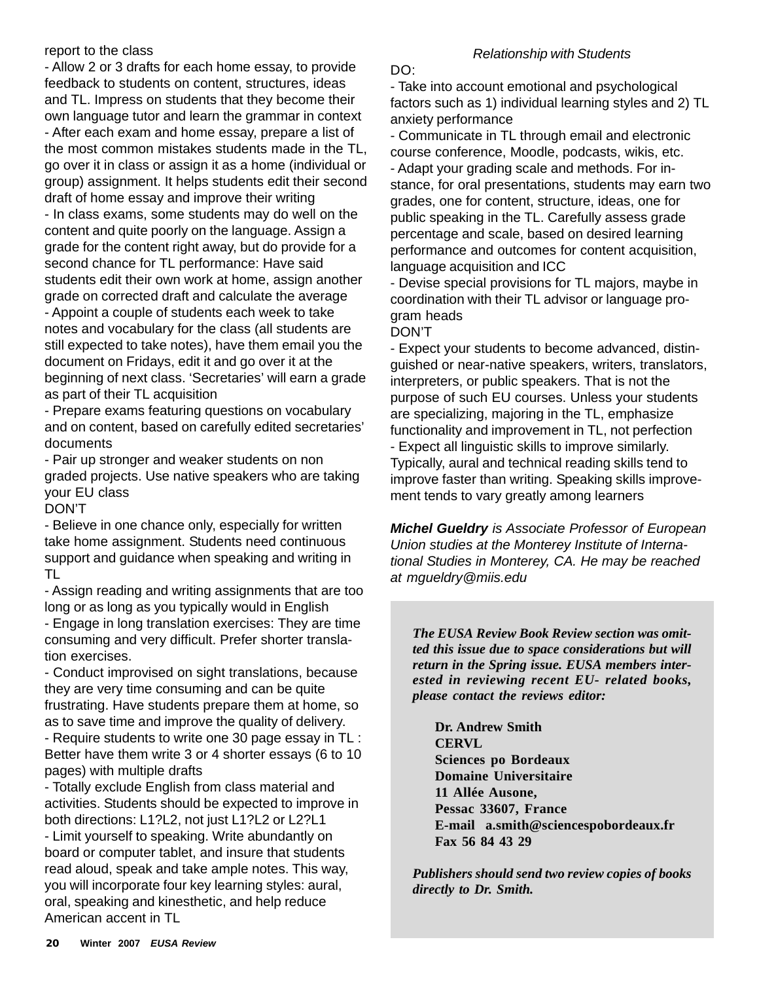#### report to the class

- Allow 2 or 3 drafts for each home essay, to provide feedback to students on content, structures, ideas and TL. Impress on students that they become their own language tutor and learn the grammar in context - After each exam and home essay, prepare a list of the most common mistakes students made in the TL, go over it in class or assign it as a home (individual or group) assignment. It helps students edit their second draft of home essay and improve their writing - In class exams, some students may do well on the content and quite poorly on the language. Assign a grade for the content right away, but do provide for a second chance for TL performance: Have said students edit their own work at home, assign another grade on corrected draft and calculate the average - Appoint a couple of students each week to take notes and vocabulary for the class (all students are still expected to take notes), have them email you the document on Fridays, edit it and go over it at the beginning of next class. 'Secretaries' will earn a grade as part of their TL acquisition

- Prepare exams featuring questions on vocabulary and on content, based on carefully edited secretaries' documents

- Pair up stronger and weaker students on non graded projects. Use native speakers who are taking your EU class

DON'T

- Believe in one chance only, especially for written take home assignment. Students need continuous support and guidance when speaking and writing in TL

- Assign reading and writing assignments that are too long or as long as you typically would in English

- Engage in long translation exercises: They are time consuming and very difficult. Prefer shorter translation exercises.

- Conduct improvised on sight translations, because they are very time consuming and can be quite frustrating. Have students prepare them at home, so as to save time and improve the quality of delivery.

- Require students to write one 30 page essay in TL : Better have them write 3 or 4 shorter essays (6 to 10 pages) with multiple drafts

- Totally exclude English from class material and activities. Students should be expected to improve in both directions: L1?L2, not just L1?L2 or L2?L1 - Limit yourself to speaking. Write abundantly on board or computer tablet, and insure that students read aloud, speak and take ample notes. This way, you will incorporate four key learning styles: aural, oral, speaking and kinesthetic, and help reduce American accent in TL

#### *Relationship with Students*

DO:

- Take into account emotional and psychological factors such as 1) individual learning styles and 2) TL anxiety performance

- Communicate in TL through email and electronic course conference, Moodle, podcasts, wikis, etc. - Adapt your grading scale and methods. For instance, for oral presentations, students may earn two grades, one for content, structure, ideas, one for public speaking in the TL. Carefully assess grade percentage and scale, based on desired learning performance and outcomes for content acquisition, language acquisition and ICC

- Devise special provisions for TL majors, maybe in coordination with their TL advisor or language program heads

DON'T

- Expect your students to become advanced, distinguished or near-native speakers, writers, translators, interpreters, or public speakers. That is not the purpose of such EU courses. Unless your students are specializing, majoring in the TL, emphasize functionality and improvement in TL, not perfection - Expect all linguistic skills to improve similarly. Typically, aural and technical reading skills tend to improve faster than writing. Speaking skills improvement tends to vary greatly among learners

*Michel Gueldry is Associate Professor of European Union studies at the Monterey Institute of International Studies in Monterey, CA. He may be reached at mgueldry@miis.edu*

*The EUSA Review Book Review section was omitted this issue due to space considerations but will return in the Spring issue. EUSA members interested in reviewing recent EU- related books, please contact the reviews editor:*

**Dr. Andrew Smith CERVL Sciences po Bordeaux Domaine Universitaire 11 Allée Ausone, Pessac 33607, France E-mail a.smith@sciencespobordeaux.fr Fax 56 84 43 29**

*Publishers should send two review copies of books directly to Dr. Smith.*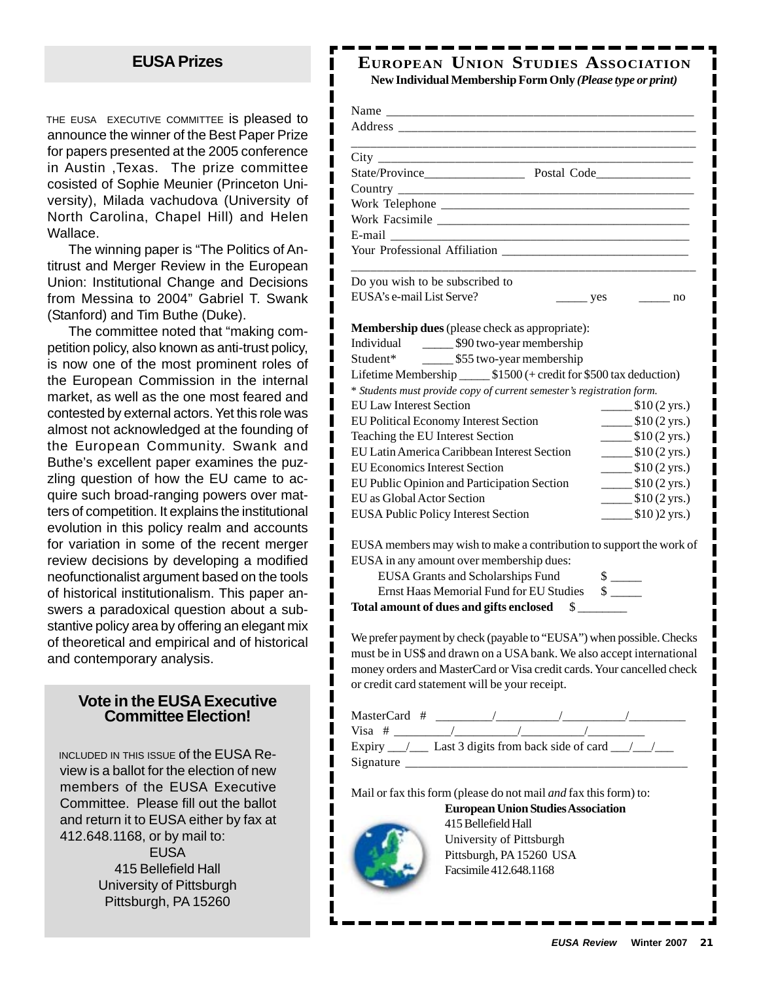### **EUSA Prizes**

THE EUSA EXECUTIVE COMMITTEE is pleased to announce the winner of the Best Paper Prize for papers presented at the 2005 conference in Austin ,Texas. The prize committee cosisted of Sophie Meunier (Princeton University), Milada vachudova (University of North Carolina, Chapel Hill) and Helen Wallace.

The winning paper is "The Politics of Antitrust and Merger Review in the European Union: Institutional Change and Decisions from Messina to 2004" Gabriel T. Swank (Stanford) and Tim Buthe (Duke).

The committee noted that "making competition policy, also known as anti-trust policy, is now one of the most prominent roles of the European Commission in the internal market, as well as the one most feared and contested by external actors. Yet this role was almost not acknowledged at the founding of the European Community. Swank and Buthe's excellent paper examines the puzzling question of how the EU came to acquire such broad-ranging powers over matters of competition. It explains the institutional evolution in this policy realm and accounts for variation in some of the recent merger review decisions by developing a modified neofunctionalist argument based on the tools of historical institutionalism. This paper answers a paradoxical question about a substantive policy area by offering an elegant mix of theoretical and empirical and of historical and contemporary analysis.

#### **Vote in the EUSA Executive Committee Election!**

INCLUDED IN THIS ISSUE of the EUSA Review is a ballot for the election of new members of the EUSA Executive Committee. Please fill out the ballot and return it to EUSA either by fax at 412.648.1168, or by mail to: EUSA 415 Bellefield Hall University of Pittsburgh Pittsburgh, PA 15260

#### **EUROPEAN UNION STUDIES ASSOCIATION New Individual Membership Form Only** *(Please type or print)*

| Do you wish to be subscribed to                                        |                                                             |
|------------------------------------------------------------------------|-------------------------------------------------------------|
| EUSA's e-mail List Serve?                                              | yes<br>$\sim$ no                                            |
|                                                                        |                                                             |
| <b>Membership dues</b> (please check as appropriate):                  |                                                             |
| Individual 590 two-year membership                                     |                                                             |
| Student* _________ \$55 two-year membership                            |                                                             |
| Lifetime Membership ________ \$1500 (+ credit for \$500 tax deduction) |                                                             |
| * Students must provide copy of current semester's registration form.  |                                                             |
| <b>EU Law Interest Section</b>                                         | $\frac{\$10(2 \text{ yrs.})}{}$                             |
| EU Political Economy Interest Section                                  | $\frac{\text{I}(2 \text{ yrs.})}{\text{I}(2 \text{ yrs.})}$ |
| Teaching the EU Interest Section                                       | $\frac{\$10(2 \text{ yrs.})}{}$                             |
| <b>EU Latin America Caribbean Interest Section</b>                     | $\frac{\text{I}(2 \text{ yrs.})}{\text{I}(2 \text{ yrs.})}$ |
| <b>EU Economics Interest Section</b>                                   | $\frac{\text{I}(2 \text{ yrs.})}{\text{I}(2 \text{ yrs.})}$ |
| EU Public Opinion and Participation Section                            | $\frac{\text{I}(2 \text{ yrs.})}{\text{I}(2 \text{ yrs.})}$ |
| EU as Global Actor Section                                             | $\frac{\text{I}(2 \text{ yrs.})}{\text{I}(2 \text{ yrs.})}$ |
| <b>EUSA Public Policy Interest Section</b>                             | $\frac{\text{I}}{\text{I}}(0)$ (2 yrs.)                     |
|                                                                        |                                                             |
| EUSA members may wish to make a contribution to support the work of    |                                                             |
| EUSA in any amount over membership dues:                               |                                                             |

| <b>EUSA Grants and Scholarships Fund</b> |  |
|------------------------------------------|--|
| Ernst Haas Memorial Fund for EU Studies  |  |
| Total amount of dues and gifts enclosed  |  |

We prefer payment by check (payable to "EUSA") when possible. Checks must be in US\$ and drawn on a USA bank. We also accept international money orders and MasterCard or Visa credit cards. Your cancelled check or credit card statement will be your receipt.

| MasterCard #                                         |  |  |  |  |
|------------------------------------------------------|--|--|--|--|
| $Visa$ #                                             |  |  |  |  |
| Expiry ___/ ___ Last 3 digits from back side of card |  |  |  |  |
| Signature                                            |  |  |  |  |

Mail or fax this form (please do not mail *and* fax this form) to:

**European Union Studies Association**



I

I

415 Bellefield Hall University of Pittsburgh Pittsburgh, PA 15260 USA Facsimile 412.648.1168